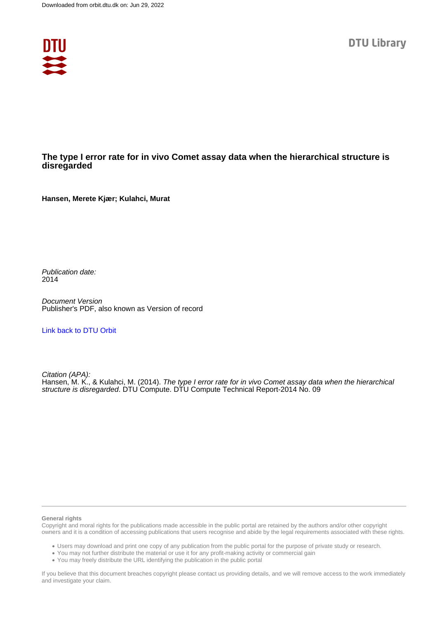

#### **The type I error rate for in vivo Comet assay data when the hierarchical structure is disregarded**

**Hansen, Merete Kjær; Kulahci, Murat**

Publication date: 2014

Document Version Publisher's PDF, also known as Version of record

[Link back to DTU Orbit](https://orbit.dtu.dk/en/publications/c5702f26-2de9-484e-a337-7684e8bfd6bd)

Citation (APA): Hansen, M. K., & Kulahci, M. (2014). The type I error rate for in vivo Comet assay data when the hierarchical structure is disregarded. DTU Compute. DTU Compute Technical Report-2014 No. 09

#### **General rights**

Copyright and moral rights for the publications made accessible in the public portal are retained by the authors and/or other copyright owners and it is a condition of accessing publications that users recognise and abide by the legal requirements associated with these rights.

Users may download and print one copy of any publication from the public portal for the purpose of private study or research.

- You may not further distribute the material or use it for any profit-making activity or commercial gain
- You may freely distribute the URL identifying the publication in the public portal

If you believe that this document breaches copyright please contact us providing details, and we will remove access to the work immediately and investigate your claim.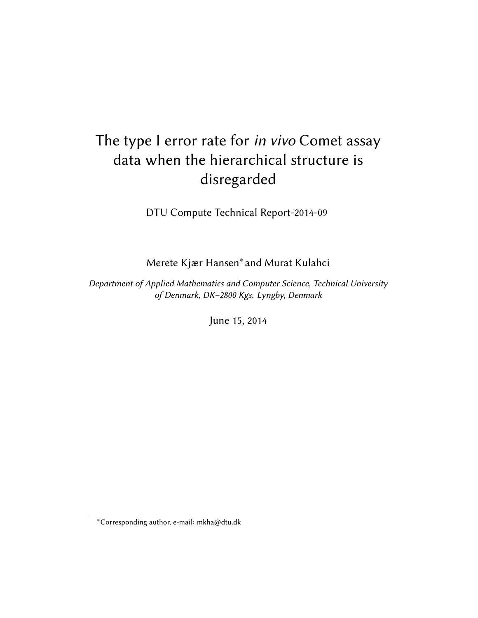# The type I error rate for in vivo Comet assay data when the hierarchical structure is disregarded

DTU Compute Technical Report-2014-09

Merete Kjær Hansen<sup>∗</sup> and Murat Kulahci

Department of Applied Mathematics and Computer Science, Technical University of Denmark, DK–2800 Kgs. Lyngby, Denmark

June 15, 2014

<sup>∗</sup>Corresponding author, e-mail: mkha@dtu.dk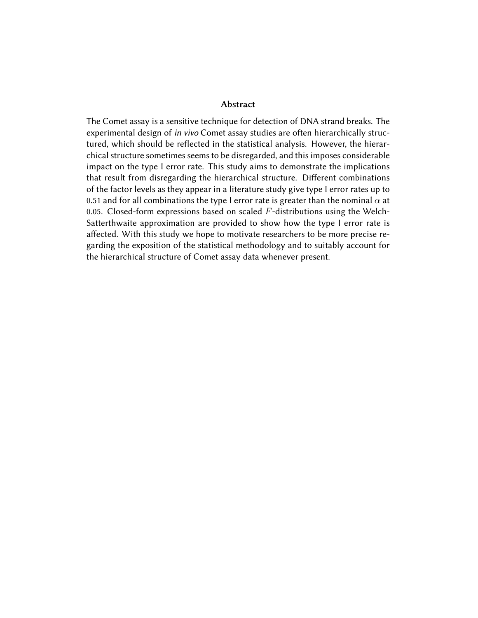#### Abstract

The Comet assay is a sensitive technique for detection of DNA strand breaks. The experimental design of in vivo Comet assay studies are often hierarchically structured, which should be reflected in the statistical analysis. However, the hierarchical structure sometimes seems to be disregarded, and this imposes considerable impact on the type I error rate. This study aims to demonstrate the implications that result from disregarding the hierarchical structure. Different combinations of the factor levels as they appear in a literature study give type I error rates up to 0.51 and for all combinations the type I error rate is greater than the nominal  $\alpha$  at 0.05. Closed-form expressions based on scaled  $F$ -distributions using the Welch-Satterthwaite approximation are provided to show how the type I error rate is affected. With this study we hope to motivate researchers to be more precise regarding the exposition of the statistical methodology and to suitably account for the hierarchical structure of Comet assay data whenever present.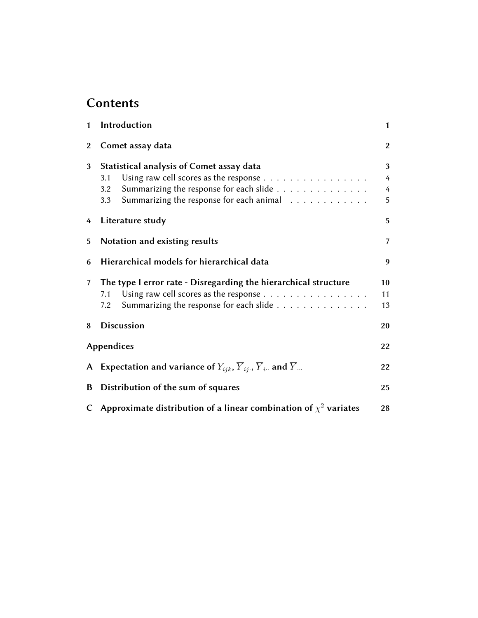# **Contents**

| 1               | Introduction                                                                                              | $\mathbf{1}$   |  |  |  |  |
|-----------------|-----------------------------------------------------------------------------------------------------------|----------------|--|--|--|--|
| $\overline{2}$  | Comet assay data                                                                                          |                |  |  |  |  |
| 3               | Statistical analysis of Comet assay data                                                                  |                |  |  |  |  |
|                 | Using raw cell scores as the response $\dots \dots \dots \dots \dots$<br>3.1                              | 4              |  |  |  |  |
|                 | Summarizing the response for each slide $\ldots \ldots \ldots \ldots$<br>3.2                              | $\overline{4}$ |  |  |  |  |
|                 | Summarizing the response for each animal<br>3.3                                                           | 5              |  |  |  |  |
| 4               | Literature study                                                                                          | 5              |  |  |  |  |
| 5               | Notation and existing results                                                                             | 7              |  |  |  |  |
| 6               | Hierarchical models for hierarchical data                                                                 | 9              |  |  |  |  |
| $7\overline{ }$ | The type I error rate - Disregarding the hierarchical structure                                           |                |  |  |  |  |
|                 | Using raw cell scores as the response<br>7.1                                                              | 11             |  |  |  |  |
|                 | Summarizing the response for each slide $\ldots \ldots \ldots \ldots$<br>7.2                              | 13             |  |  |  |  |
| 8               | <b>Discussion</b>                                                                                         | 20             |  |  |  |  |
|                 | Appendices                                                                                                | 22             |  |  |  |  |
| $\mathsf{A}$    | Expectation and variance of $Y_{ijk}$ , $\overline{Y}_{ij}$ , $\overline{Y}_{i}$ and $\overline{Y}_{i}$ . | 22             |  |  |  |  |
| B               | Distribution of the sum of squares<br>25                                                                  |                |  |  |  |  |
|                 | C Approximate distribution of a linear combination of $\chi^2$ variates                                   | 28             |  |  |  |  |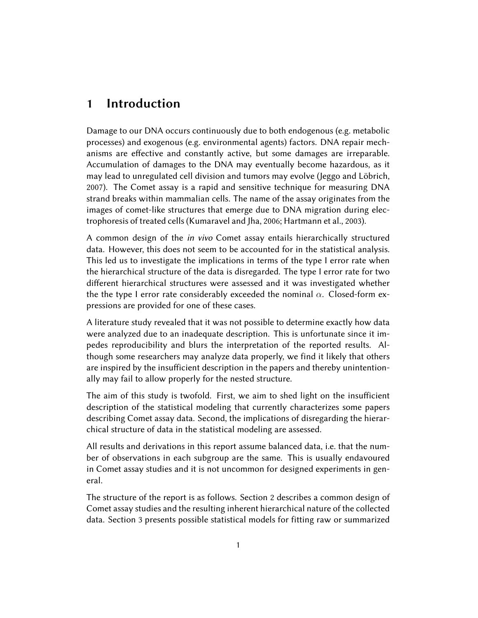### 1 Introduction

Damage to our DNA occurs continuously due to both endogenous (e.g. metabolic processes) and exogenous (e.g. environmental agents) factors. DNA repair mechanisms are effective and constantly active, but some damages are irreparable. Accumulation of damages to the DNA may eventually become hazardous, as it may lead to unregulated cell division and tumors may evolve (Jeggo and Löbrich, 2007). The Comet assay is a rapid and sensitive technique for measuring DNA strand breaks within mammalian cells. The name of the assay originates from the images of comet-like structures that emerge due to DNA migration during electrophoresis of treated cells (Kumaravel and Jha, 2006; Hartmann et al., 2003).

A common design of the in vivo Comet assay entails hierarchically structured data. However, this does not seem to be accounted for in the statistical analysis. This led us to investigate the implications in terms of the type I error rate when the hierarchical structure of the data is disregarded. The type I error rate for two different hierarchical structures were assessed and it was investigated whether the the type I error rate considerably exceeded the nominal  $\alpha$ . Closed-form expressions are provided for one of these cases.

A literature study revealed that it was not possible to determine exactly how data were analyzed due to an inadequate description. This is unfortunate since it impedes reproducibility and blurs the interpretation of the reported results. Although some researchers may analyze data properly, we find it likely that others are inspired by the insufficient description in the papers and thereby unintentionally may fail to allow properly for the nested structure.

The aim of this study is twofold. First, we aim to shed light on the insufficient description of the statistical modeling that currently characterizes some papers describing Comet assay data. Second, the implications of disregarding the hierarchical structure of data in the statistical modeling are assessed.

All results and derivations in this report assume balanced data, i.e. that the number of observations in each subgroup are the same. This is usually endavoured in Comet assay studies and it is not uncommon for designed experiments in general.

The structure of the report is as follows. Section 2 describes a common design of Comet assay studies and the resulting inherent hierarchical nature of the collected data. Section 3 presents possible statistical models for fitting raw or summarized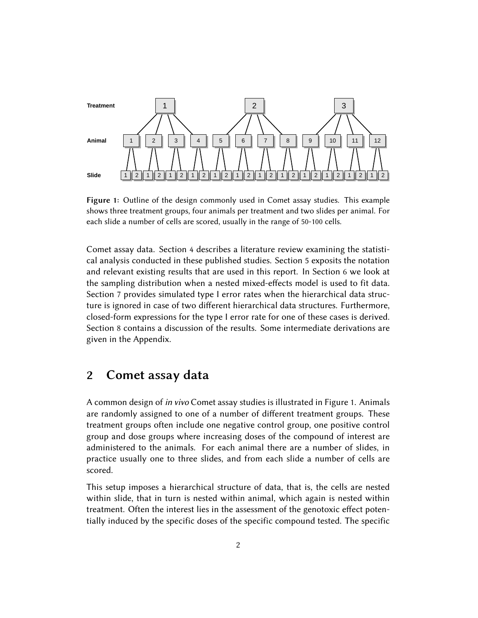

Figure 1: Outline of the design commonly used in Comet assay studies. This example shows three treatment groups, four animals per treatment and two slides per animal. For each slide a number of cells are scored, usually in the range of 50-100 cells.

Comet assay data. Section 4 describes a literature review examining the statistical analysis conducted in these published studies. Section 5 exposits the notation and relevant existing results that are used in this report. In Section 6 we look at the sampling distribution when a nested mixed-effects model is used to fit data. Section 7 provides simulated type I error rates when the hierarchical data structure is ignored in case of two different hierarchical data structures. Furthermore, closed-form expressions for the type I error rate for one of these cases is derived. Section 8 contains a discussion of the results. Some intermediate derivations are given in the Appendix.

### 2 Comet assay data

A common design of in vivo Comet assay studies is illustrated in Figure 1. Animals are randomly assigned to one of a number of different treatment groups. These treatment groups often include one negative control group, one positive control group and dose groups where increasing doses of the compound of interest are administered to the animals. For each animal there are a number of slides, in practice usually one to three slides, and from each slide a number of cells are scored.

This setup imposes a hierarchical structure of data, that is, the cells are nested within slide, that in turn is nested within animal, which again is nested within treatment. Often the interest lies in the assessment of the genotoxic effect potentially induced by the specific doses of the specific compound tested. The specific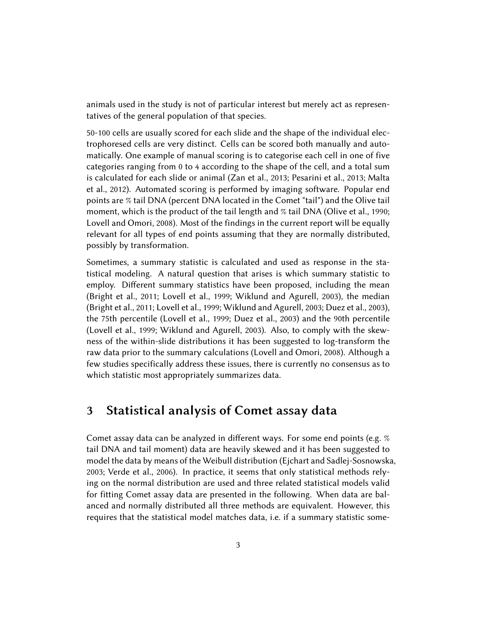animals used in the study is not of particular interest but merely act as representatives of the general population of that species.

50-100 cells are usually scored for each slide and the shape of the individual electrophoresed cells are very distinct. Cells can be scored both manually and automatically. One example of manual scoring is to categorise each cell in one of five categories ranging from 0 to 4 according to the shape of the cell, and a total sum is calculated for each slide or animal (Zan et al., 2013; Pesarini et al., 2013; Malta et al., 2012). Automated scoring is performed by imaging software. Popular end points are % tail DNA (percent DNA located in the Comet "tail") and the Olive tail moment, which is the product of the tail length and % tail DNA (Olive et al., 1990; Lovell and Omori, 2008). Most of the findings in the current report will be equally relevant for all types of end points assuming that they are normally distributed, possibly by transformation.

Sometimes, a summary statistic is calculated and used as response in the statistical modeling. A natural question that arises is which summary statistic to employ. Different summary statistics have been proposed, including the mean (Bright et al., 2011; Lovell et al., 1999; Wiklund and Agurell, 2003), the median (Bright et al., 2011; Lovell et al., 1999; Wiklund and Agurell, 2003; Duez et al., 2003), the 75th percentile (Lovell et al., 1999; Duez et al., 2003) and the 90th percentile (Lovell et al., 1999; Wiklund and Agurell, 2003). Also, to comply with the skewness of the within-slide distributions it has been suggested to log-transform the raw data prior to the summary calculations (Lovell and Omori, 2008). Although a few studies specifically address these issues, there is currently no consensus as to which statistic most appropriately summarizes data.

### 3 Statistical analysis of Comet assay data

Comet assay data can be analyzed in different ways. For some end points (e.g.  $\%$ tail DNA and tail moment) data are heavily skewed and it has been suggested to model the data by means of the Weibull distribution (Ejchart and Sadlej-Sosnowska, 2003; Verde et al., 2006). In practice, it seems that only statistical methods relying on the normal distribution are used and three related statistical models valid for fitting Comet assay data are presented in the following. When data are balanced and normally distributed all three methods are equivalent. However, this requires that the statistical model matches data, i.e. if a summary statistic some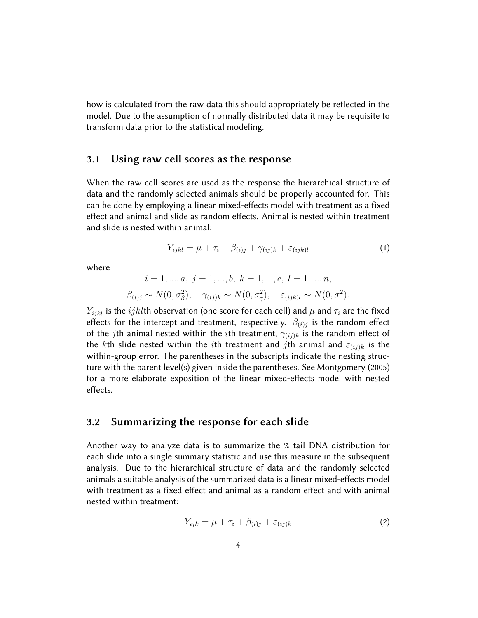how is calculated from the raw data this should appropriately be reflected in the model. Due to the assumption of normally distributed data it may be requisite to transform data prior to the statistical modeling.

#### 3.1 Using raw cell scores as the response

When the raw cell scores are used as the response the hierarchical structure of data and the randomly selected animals should be properly accounted for. This can be done by employing a linear mixed-effects model with treatment as a fixed effect and animal and slide as random effects. Animal is nested within treatment and slide is nested within animal:

$$
Y_{ijkl} = \mu + \tau_i + \beta_{(i)j} + \gamma_{(ij)k} + \varepsilon_{(ijk)l}
$$
\n(1)

where

$$
i = 1, ..., a, j = 1, ..., b, k = 1, ..., c, l = 1, ..., n,
$$
  
 $\beta_{(i)j} \sim N(0, \sigma_{\beta}^2), \quad \gamma_{(ij)k} \sim N(0, \sigma_{\gamma}^2), \quad \varepsilon_{(ijk)l} \sim N(0, \sigma^2).$ 

 $Y_{ijkl}$  is the  $ijkl$ th observation (one score for each cell) and  $\mu$  and  $\tau_i$  are the fixed effects for the intercept and treatment, respectively.  $\beta_{(i)j}$  is the random effect of the jth animal nested within the ith treatment,  $\gamma(i)$  is the random effect of the kth slide nested within the ith treatment and jth animal and  $\varepsilon_{(ij)k}$  is the within-group error. The parentheses in the subscripts indicate the nesting structure with the parent level(s) given inside the parentheses. See Montgomery (2005) for a more elaborate exposition of the linear mixed-effects model with nested effects.

#### 3.2 Summarizing the response for each slide

Another way to analyze data is to summarize the % tail DNA distribution for each slide into a single summary statistic and use this measure in the subsequent analysis. Due to the hierarchical structure of data and the randomly selected animals a suitable analysis of the summarized data is a linear mixed-effects model with treatment as a fixed effect and animal as a random effect and with animal nested within treatment:

$$
Y_{ijk} = \mu + \tau_i + \beta_{(i)j} + \varepsilon_{(ij)k} \tag{2}
$$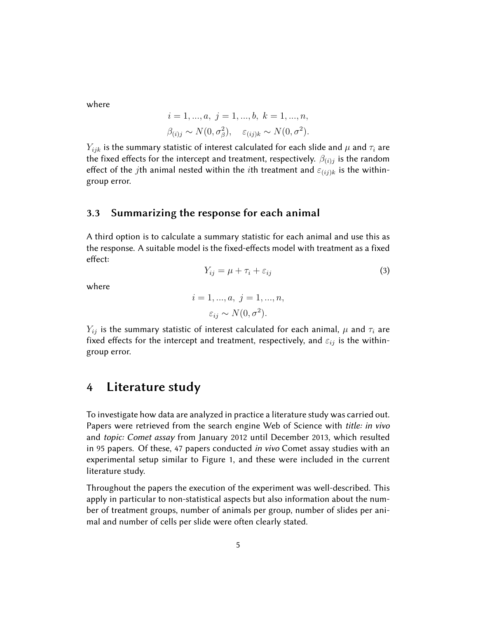where

$$
i = 1, ..., a, j = 1, ..., b, k = 1, ..., n,
$$
  
 $\beta_{(i)j} \sim N(0, \sigma_{\beta}^2), \quad \varepsilon_{(ij)k} \sim N(0, \sigma^2).$ 

 $Y_{ijk}$  is the summary statistic of interest calculated for each slide and  $\mu$  and  $\tau_i$  are the fixed effects for the intercept and treatment, respectively.  $\beta_{(i)j}$  is the random effect of the jth animal nested within the ith treatment and  $\varepsilon_{(ij)k}$  is the withingroup error.

#### 3.3 Summarizing the response for each animal

A third option is to calculate a summary statistic for each animal and use this as the response. A suitable model is the fixed-effects model with treatment as a fixed effect:

$$
Y_{ij} = \mu + \tau_i + \varepsilon_{ij} \tag{3}
$$

where

$$
i = 1, ..., a, j = 1, ..., n,
$$
  

$$
\varepsilon_{ij} \sim N(0, \sigma^2).
$$

 $Y_{ij}$  is the summary statistic of interest calculated for each animal,  $\mu$  and  $\tau_i$  are fixed effects for the intercept and treatment, respectively, and  $\varepsilon_{ij}$  is the withingroup error.

### 4 Literature study

To investigate how data are analyzed in practice a literature study was carried out. Papers were retrieved from the search engine Web of Science with *title: in vivo* and topic: Comet assay from January 2012 until December 2013, which resulted in 95 papers. Of these, 47 papers conducted in vivo Comet assay studies with an experimental setup similar to Figure 1, and these were included in the current literature study.

Throughout the papers the execution of the experiment was well-described. This apply in particular to non-statistical aspects but also information about the number of treatment groups, number of animals per group, number of slides per animal and number of cells per slide were often clearly stated.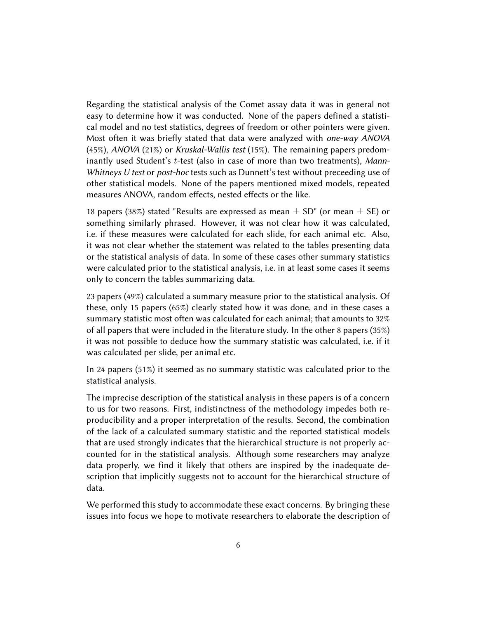Regarding the statistical analysis of the Comet assay data it was in general not easy to determine how it was conducted. None of the papers defined a statistical model and no test statistics, degrees of freedom or other pointers were given. Most often it was briefly stated that data were analyzed with one-way ANOVA (45%), ANOVA (21%) or Kruskal-Wallis test (15%). The remaining papers predominantly used Student's  $t$ -test (also in case of more than two treatments), Mann-Whitneys U test or post-hoc tests such as Dunnett's test without preceeding use of other statistical models. None of the papers mentioned mixed models, repeated measures ANOVA, random effects, nested effects or the like.

18 papers (38%) stated "Results are expressed as mean  $\pm$  SD" (or mean  $\pm$  SE) or something similarly phrased. However, it was not clear how it was calculated, i.e. if these measures were calculated for each slide, for each animal etc. Also, it was not clear whether the statement was related to the tables presenting data or the statistical analysis of data. In some of these cases other summary statistics were calculated prior to the statistical analysis, i.e. in at least some cases it seems only to concern the tables summarizing data.

23 papers (49%) calculated a summary measure prior to the statistical analysis. Of these, only 15 papers (65%) clearly stated how it was done, and in these cases a summary statistic most often was calculated for each animal; that amounts to 32% of all papers that were included in the literature study. In the other 8 papers (35%) it was not possible to deduce how the summary statistic was calculated, i.e. if it was calculated per slide, per animal etc.

In 24 papers (51%) it seemed as no summary statistic was calculated prior to the statistical analysis.

The imprecise description of the statistical analysis in these papers is of a concern to us for two reasons. First, indistinctness of the methodology impedes both reproducibility and a proper interpretation of the results. Second, the combination of the lack of a calculated summary statistic and the reported statistical models that are used strongly indicates that the hierarchical structure is not properly accounted for in the statistical analysis. Although some researchers may analyze data properly, we find it likely that others are inspired by the inadequate description that implicitly suggests not to account for the hierarchical structure of data.

We performed this study to accommodate these exact concerns. By bringing these issues into focus we hope to motivate researchers to elaborate the description of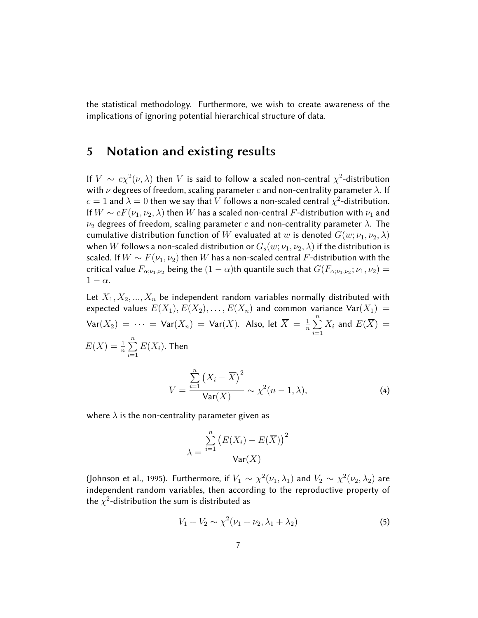the statistical methodology. Furthermore, we wish to create awareness of the implications of ignoring potential hierarchical structure of data.

### 5 Notation and existing results

If  $V \sim c\chi^2(\nu,\lambda)$  then V is said to follow a scaled non-central  $\chi^2$ -distribution with  $\nu$  degrees of freedom, scaling parameter c and non-centrality parameter  $\lambda$ . If  $c=1$  and  $\lambda=0$  then we say that  $V$  follows a non-scaled central  $\chi^2$ -distribution. If  $W \sim cF(\nu_1, \nu_2, \lambda)$  then W has a scaled non-central F-distribution with  $\nu_1$  and  $\nu_2$  degrees of freedom, scaling parameter c and non-centrality parameter  $\lambda$ . The cumulative distribution function of W evaluated at w is denoted  $G(w; \nu_1, \nu_2, \lambda)$ when W follows a non-scaled distribution or  $G_s(w; \nu_1, \nu_2, \lambda)$  if the distribution is scaled. If  $W \sim F(\nu_1, \nu_2)$  then W has a non-scaled central F-distribution with the critical value  $F_{\alpha;\nu_1,\nu_2}$  being the  $(1-\alpha)$ th quantile such that  $G(F_{\alpha;\nu_1,\nu_2};\nu_1,\nu_2) =$  $1 - \alpha$ .

Let  $X_1, X_2, ..., X_n$  be independent random variables normally distributed with expected values  $E(X_1), E(X_2), \ldots, E(X_n)$  and common variance  $Var(X_1) =$  $\textsf{Var}(X_2) \ = \ \cdots \ = \ \textsf{Var}(X_n) \ = \ \textsf{Var}(X).$  Also, let  $\overline{X} \ = \ \frac{1}{n}$  $\frac{1}{n}$  $\sum_{n=1}^{n}$  $i=1$  $X_i$  and  $E(\overline{X})\,=\,$  $\overline{E(X)} = \frac{1}{n} \sum_{n=1}^{n}$  $i=1$  $E(X_i)$ . Then

$$
V = \frac{\sum_{i=1}^{n} (X_i - \overline{X})^2}{\text{Var}(X)} \sim \chi^2(n-1, \lambda),
$$
 (4)

where  $\lambda$  is the non-centrality parameter given as

$$
\lambda = \frac{\sum_{i=1}^{n} (E(X_i) - E(\overline{X}))^2}{\text{Var}(X)}
$$

(Johnson et al., 1995). Furthermore, if  $V_1 \sim \chi^2(\nu_1,\lambda_1)$  and  $V_2 \sim \chi^2(\nu_2,\lambda_2)$  are independent random variables, then according to the reproductive property of the  $\chi^2$ -distribution the sum is distributed as

$$
V_1 + V_2 \sim \chi^2(\nu_1 + \nu_2, \lambda_1 + \lambda_2) \tag{5}
$$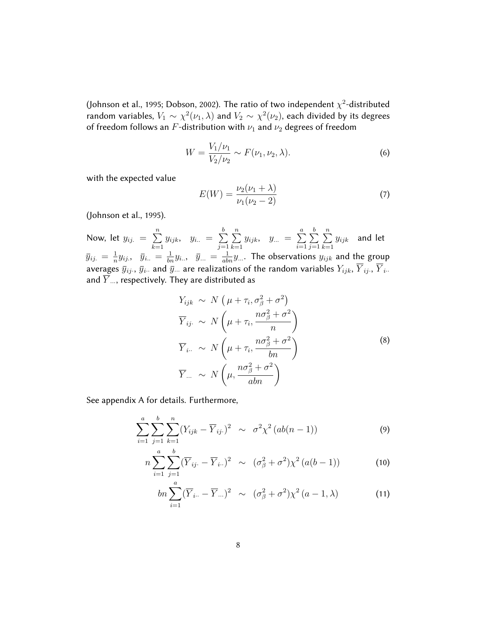(Johnson et al., 1995; Dobson, 2002). The ratio of two independent  $\chi^2$ -distributed random variables,  $V_1 \sim \chi^2(\nu_1, \lambda)$  and  $V_2 \sim \chi^2(\nu_2)$ , each divided by its degrees of freedom follows an F-distribution with  $\nu_1$  and  $\nu_2$  degrees of freedom

$$
W = \frac{V_1/\nu_1}{V_2/\nu_2} \sim F(\nu_1, \nu_2, \lambda).
$$
 (6)

with the expected value

$$
E(W) = \frac{\nu_2(\nu_1 + \lambda)}{\nu_1(\nu_2 - 2)}\tag{7}
$$

(Johnson et al., 1995).

Now, let  $y_{ij.} = \sum_{i=1}^{n}$  $k=1$  $y_{ijk}, y_{i..} = \sum_{i..}^{b}$  $j=1$  $\sum_{n=1}^{\infty}$  $k=1$  $y_{ijk}, y_{...} = \sum_{ }^{a}$  $i=1$  $\sum_{i=1}^{b}$  $j=1$  $\sum_{n=1}^{\infty}$  $k=1$  $y_{ijk}$  and let  $\bar{y}_{ij.} = \frac{1}{n}$  $\frac{1}{n}y_{ij.}$ ,  $\bar{y}_{i..} = \frac{1}{bn}y_{i..},$   $\bar{y}_{...} = \frac{1}{abn}y_{...}$ . The observations  $y_{ijk}$  and the group averages  $\bar y_{ij}$ ,  $\bar y_i$ . and  $\bar y$ ... are realizations of the random variables  $Y_{ijk},$   $\overline{Y}_{ij}$ ,  $\overline{Y}_{i..}$ and  $\overline{Y}$  ..., respectively. They are distributed as

$$
Y_{ijk} \sim N\left(\mu + \tau_i, \sigma_{\beta}^2 + \sigma^2\right)
$$
  
\n
$$
\overline{Y}_{ij} \sim N\left(\mu + \tau_i, \frac{n\sigma_{\beta}^2 + \sigma^2}{n}\right)
$$
  
\n
$$
\overline{Y}_{i..} \sim N\left(\mu + \tau_i, \frac{n\sigma_{\beta}^2 + \sigma^2}{bn}\right)
$$
  
\n
$$
\overline{Y}_{...} \sim N\left(\mu, \frac{n\sigma_{\beta}^2 + \sigma^2}{abn}\right)
$$
 (8)

See appendix A for details. Furthermore,

$$
\sum_{i=1}^{a} \sum_{j=1}^{b} \sum_{k=1}^{n} (Y_{ijk} - \overline{Y}_{ij.})^2 \sim \sigma^2 \chi^2 (ab(n-1))
$$
 (9)

$$
n\sum_{i=1}^{a} \sum_{j=1}^{b} (\overline{Y}_{ij.} - \overline{Y}_{i..})^2 \sim (\sigma_{\beta}^2 + \sigma^2) \chi^2 (a(b-1)) \tag{10}
$$

$$
bn\sum_{i=1}^{a} (\overline{Y}_{i\cdot\cdot} - \overline{Y}_{\cdot\cdot\cdot})^2 \sim (\sigma_{\beta}^2 + \sigma^2) \chi^2 (a-1, \lambda)
$$
 (11)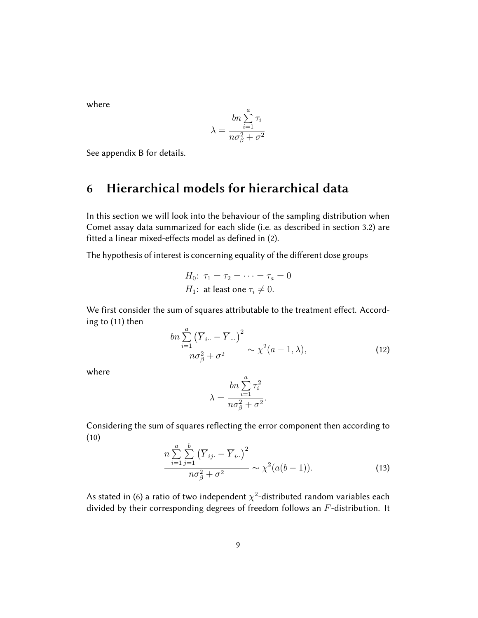where

$$
\lambda = \frac{bn \sum_{i=1}^{a} \tau_i}{n \sigma_{\beta}^2 + \sigma^2}
$$

See appendix B for details.

### 6 Hierarchical models for hierarchical data

In this section we will look into the behaviour of the sampling distribution when Comet assay data summarized for each slide (i.e. as described in section 3.2) are fitted a linear mixed-effects model as defined in (2).

The hypothesis of interest is concerning equality of the different dose groups

$$
H_0: \tau_1 = \tau_2 = \dots = \tau_a = 0
$$
  

$$
H_1: \text{ at least one } \tau_i \neq 0.
$$

We first consider the sum of squares attributable to the treatment effect. According to (11) then

$$
\frac{bn\sum_{i=1}^{a} (\overline{Y}_{i\cdot\cdot} - \overline{Y}_{\cdot\cdot\cdot})^2}{n\sigma_{\beta}^2 + \sigma^2} \sim \chi^2(a-1,\lambda),\tag{12}
$$

where

$$
\lambda = \frac{bn \sum_{i=1}^{a} \tau_i^2}{no_{\beta}^2 + \sigma^2}.
$$

Considering the sum of squares reflecting the error component then according to (10)

$$
\frac{n\sum_{i=1}^{a}\sum_{j=1}^{b} (\overline{Y}_{ij.} - \overline{Y}_{i.})^2}{n\sigma_{\beta}^2 + \sigma^2} \sim \chi^2(a(b-1)).
$$
\n(13)

As stated in (6) a ratio of two independent  $\chi^2$ -distributed random variables each divided by their corresponding degrees of freedom follows an  $F$ -distribution. It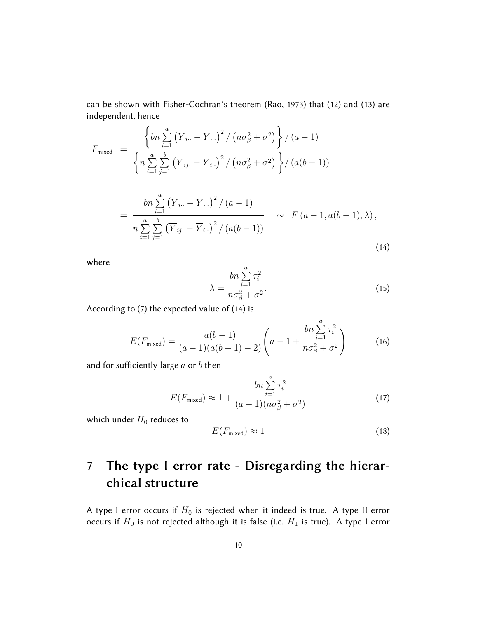can be shown with Fisher-Cochran's theorem (Rao, 1973) that (12) and (13) are independent, hence

$$
F_{\text{mixed}} = \frac{\left\{ \ln \sum_{i=1}^{a} (\overline{Y}_{i..} - \overline{Y}_{...})^2 / (n\sigma_{\beta}^2 + \sigma^2) \right\} / (a-1)}{\left\{ n \sum_{i=1}^{a} \sum_{j=1}^{b} (\overline{Y}_{ij.} - \overline{Y}_{i..})^2 / (n\sigma_{\beta}^2 + \sigma^2) \right\} / (a(b-1))}
$$
  
= 
$$
\frac{\ln \sum_{i=1}^{a} (\overline{Y}_{i..} - \overline{Y}_{...})^2 / (a-1)}{n \sum_{i=1}^{a} \sum_{j=1}^{b} (\overline{Y}_{ij.} - \overline{Y}_{i..})^2 / (a(b-1))} \sim F(a-1, a(b-1), \lambda),
$$

$$
(14)
$$

where

$$
\lambda = \frac{\ln \sum_{i=1}^{a} \tau_i^2}{n\sigma_{\beta}^2 + \sigma^2}.
$$
\n(15)

According to (7) the expected value of (14) is

$$
E(F_{\text{mixed}}) = \frac{a(b-1)}{(a-1)(a(b-1)-2)} \left( a - 1 + \frac{bn \sum_{i=1}^{a} \tau_i^2}{n \sigma_{\beta}^2 + \sigma^2} \right)
$$
(16)

and for sufficiently large  $a$  or  $b$  then

$$
bn \sum_{i=1}^{a} \tau_i^2
$$
  

$$
E(F_{\text{mixed}}) \approx 1 + \frac{bn \sum_{i=1}^{a} \tau_i^2}{(a-1)(n\sigma_{\beta}^2 + \sigma^2)}
$$
 (17)

which under  $H_0$  reduces to

$$
E(F_{\text{mixed}}) \approx 1 \tag{18}
$$

# 7 The type I error rate - Disregarding the hierarchical structure

A type I error occurs if  $H_0$  is rejected when it indeed is true. A type II error occurs if  $H_0$  is not rejected although it is false (i.e.  $H_1$  is true). A type I error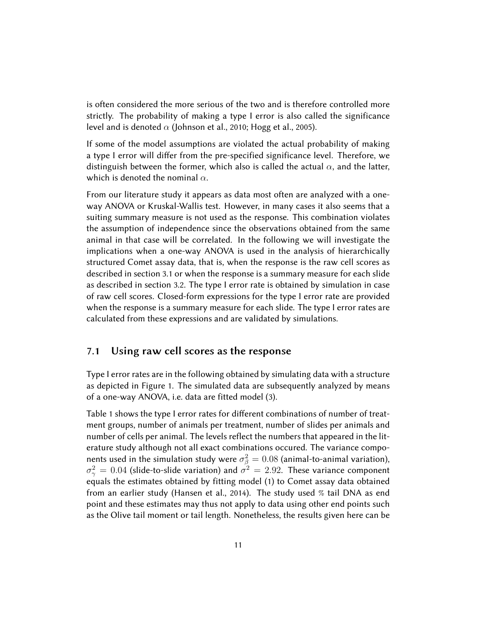is often considered the more serious of the two and is therefore controlled more strictly. The probability of making a type I error is also called the significance level and is denoted  $\alpha$  (Johnson et al., 2010; Hogg et al., 2005).

If some of the model assumptions are violated the actual probability of making a type I error will differ from the pre-specified significance level. Therefore, we distinguish between the former, which also is called the actual  $\alpha$ , and the latter, which is denoted the nominal  $\alpha$ .

From our literature study it appears as data most often are analyzed with a oneway ANOVA or Kruskal-Wallis test. However, in many cases it also seems that a suiting summary measure is not used as the response. This combination violates the assumption of independence since the observations obtained from the same animal in that case will be correlated. In the following we will investigate the implications when a one-way ANOVA is used in the analysis of hierarchically structured Comet assay data, that is, when the response is the raw cell scores as described in section 3.1 or when the response is a summary measure for each slide as described in section 3.2. The type I error rate is obtained by simulation in case of raw cell scores. Closed-form expressions for the type I error rate are provided when the response is a summary measure for each slide. The type I error rates are calculated from these expressions and are validated by simulations.

#### 7.1 Using raw cell scores as the response

Type I error rates are in the following obtained by simulating data with a structure as depicted in Figure 1. The simulated data are subsequently analyzed by means of a one-way ANOVA, i.e. data are fitted model (3).

Table 1 shows the type I error rates for different combinations of number of treatment groups, number of animals per treatment, number of slides per animals and number of cells per animal. The levels reflect the numbers that appeared in the literature study although not all exact combinations occured. The variance components used in the simulation study were  $\sigma_{\beta}^2=0.08$  (animal-to-animal variation),  $\sigma_{\gamma}^2=0.04$  (slide-to-slide variation) and  $\sigma^2=2.92$ . These variance component equals the estimates obtained by fitting model (1) to Comet assay data obtained from an earlier study (Hansen et al., 2014). The study used % tail DNA as end point and these estimates may thus not apply to data using other end points such as the Olive tail moment or tail length. Nonetheless, the results given here can be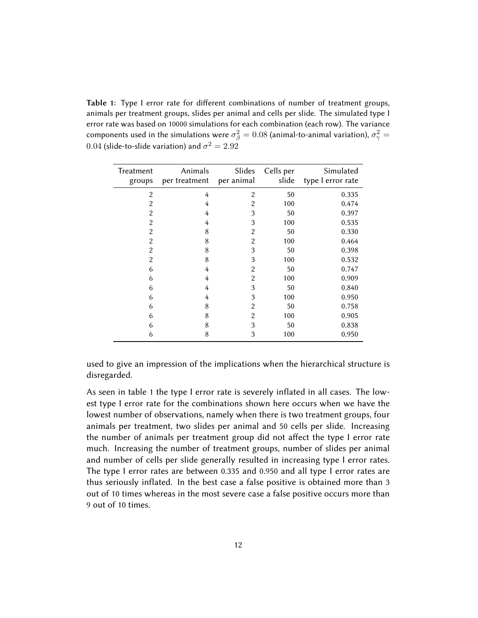Table 1: Type I error rate for different combinations of number of treatment groups, animals per treatment groups, slides per animal and cells per slide. The simulated type I error rate was based on 10000 simulations for each combination (each row). The variance components used in the simulations were  $\sigma_{\beta}^2=0.08$  (animal-to-animal variation),  $\sigma_{\gamma}^2=$  $0.04$  (slide-to-slide variation) and  $\sigma^2=2.92$ 

| Treatment<br>groups | Animals<br>per treatment | Slides<br>per animal | Cells per<br>slide | Simulated<br>type I error rate |
|---------------------|--------------------------|----------------------|--------------------|--------------------------------|
| $\overline{2}$      | 4                        | $\overline{2}$       | 50                 | 0.335                          |
| $\overline{2}$      | 4                        | 2                    | 100                | 0.474                          |
| $\overline{2}$      | 4                        | 3                    | 50                 | 0.397                          |
| $\overline{2}$      | 4                        | 3                    | 100                | 0.535                          |
| $\overline{2}$      | 8                        | $\overline{2}$       | 50                 | 0.330                          |
| $\overline{2}$      | 8                        | $\overline{2}$       | 100                | 0.464                          |
| $\overline{2}$      | 8                        | 3                    | 50                 | 0.398                          |
| $\overline{2}$      | 8                        | 3                    | 100                | 0.532                          |
| 6                   | 4                        | $\overline{2}$       | 50                 | 0.747                          |
| 6                   | 4                        | 2                    | 100                | 0.909                          |
| 6                   | 4                        | 3                    | 50                 | 0.840                          |
| 6                   | 4                        | 3                    | 100                | 0.950                          |
| 6                   | 8                        | 2                    | 50                 | 0.758                          |
| 6                   | 8                        | 2                    | 100                | 0.905                          |
| 6                   | 8                        | 3                    | 50                 | 0.838                          |
| 6                   | 8                        | 3                    | 100                | 0.950                          |

used to give an impression of the implications when the hierarchical structure is disregarded.

As seen in table 1 the type I error rate is severely inflated in all cases. The lowest type I error rate for the combinations shown here occurs when we have the lowest number of observations, namely when there is two treatment groups, four animals per treatment, two slides per animal and 50 cells per slide. Increasing the number of animals per treatment group did not affect the type I error rate much. Increasing the number of treatment groups, number of slides per animal and number of cells per slide generally resulted in increasing type I error rates. The type I error rates are between 0.335 and 0.950 and all type I error rates are thus seriously inflated. In the best case a false positive is obtained more than 3 out of 10 times whereas in the most severe case a false positive occurs more than 9 out of 10 times.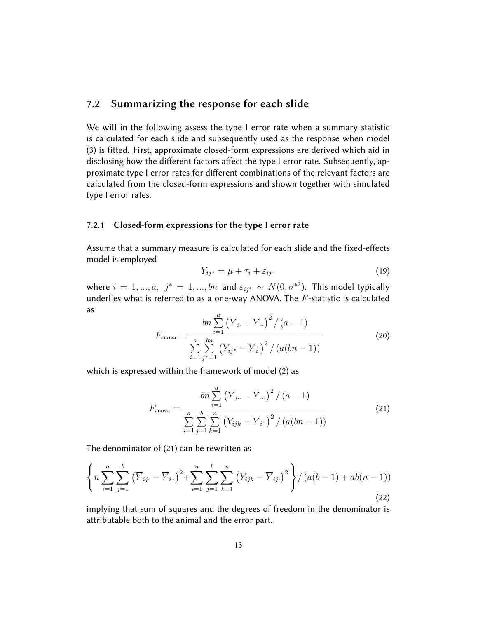#### 7.2 Summarizing the response for each slide

We will in the following assess the type I error rate when a summary statistic is calculated for each slide and subsequently used as the response when model (3) is fitted. First, approximate closed-form expressions are derived which aid in disclosing how the different factors affect the type I error rate. Subsequently, approximate type I error rates for different combinations of the relevant factors are calculated from the closed-form expressions and shown together with simulated type I error rates.

#### 7.2.1 Closed-form expressions for the type I error rate

Assume that a summary measure is calculated for each slide and the fixed-effects model is employed

$$
Y_{ij^*} = \mu + \tau_i + \varepsilon_{ij^*} \tag{19}
$$

where  $i = 1, ..., a, j^* = 1, ..., bn$  and  $\varepsilon_{ij^*} \sim N(0, \sigma^{*2})$ . This model typically underlies what is referred to as a one-way ANOVA. The  $F$ -statistic is calculated as

$$
F_{\text{anova}} = \frac{bn \sum_{i=1}^{a} (\overline{Y}_{i.} - \overline{Y}_{..})^2 / (a - 1)}{\sum_{i=1}^{a} \sum_{j^*=1}^{bn} (Y_{ij^*} - \overline{Y}_{i.})^2 / (a(bn - 1))}
$$
(20)

which is expressed within the framework of model (2) as

$$
F_{\text{anova}} = \frac{bn \sum_{i=1}^{a} (\overline{Y}_{i\cdot\cdot} - \overline{Y}_{\cdot\cdot\cdot})^{2} / (a-1)}{\sum_{i=1}^{a} \sum_{j=1}^{b} \sum_{k=1}^{n} (Y_{ijk} - \overline{Y}_{i\cdot\cdot})^{2} / (a(bn-1))}
$$
(21)

The denominator of (21) can be rewritten as

$$
\left\{ n \sum_{i=1}^{a} \sum_{j=1}^{b} \left( \overline{Y}_{ij} - \overline{Y}_{i} \right)^{2} + \sum_{i=1}^{a} \sum_{j=1}^{b} \sum_{k=1}^{n} \left( Y_{ijk} - \overline{Y}_{ij} \right)^{2} \right\} / \left( a(b-1) + ab(n-1) \right) \tag{22}
$$

implying that sum of squares and the degrees of freedom in the denominator is attributable both to the animal and the error part.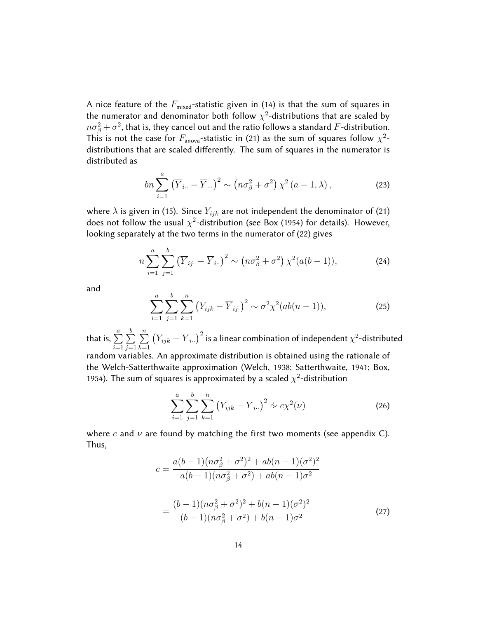A nice feature of the  $F_{\text{mixed}}$ -statistic given in (14) is that the sum of squares in the numerator and denominator both follow  $\chi^2$ -distributions that are scaled by  $n\sigma_{\beta}^2+\sigma^2$ , that is, they cancel out and the ratio follows a standard  $F$ -distribution. This is not the case for  $F_{\text{anova}}$ -statistic in (21) as the sum of squares follow  $\chi^2$ distributions that are scaled differently. The sum of squares in the numerator is distributed as

$$
bn\sum_{i=1}^{a} \left(\overline{Y}_{i\cdot\cdot} - \overline{Y}_{\cdot\cdot\cdot}\right)^{2} \sim \left(n\sigma_{\beta}^{2} + \sigma^{2}\right)\chi^{2}\left(a-1,\lambda\right),\tag{23}
$$

where  $\lambda$  is given in (15). Since  $Y_{ijk}$  are not independent the denominator of (21) does not follow the usual  $\chi^2$ -distribution (see Box (1954) for details). However, looking separately at the two terms in the numerator of (22) gives

$$
n\sum_{i=1}^{a} \sum_{j=1}^{b} (\overline{Y}_{ij.} - \overline{Y}_{i.})^2 \sim (n\sigma_{\beta}^2 + \sigma^2) \chi^2(a(b-1)),
$$
 (24)

and

$$
\sum_{i=1}^{a} \sum_{j=1}^{b} \sum_{k=1}^{n} (Y_{ijk} - \overline{Y}_{ij.})^2 \sim \sigma^2 \chi^2 (ab(n-1)),
$$
 (25)

that is,  $\sum^a$  $i=1$  $\sum_{i=1}^{b}$  $j=1$  $\sum_{n=1}^{\infty}$  $k=1$  $\left(Y_{ijk}-\overline{Y}_{i..}\right)^2$  is a linear combination of independent  $\chi^2$ -distributed random variables. An approximate distribution is obtained using the rationale of the Welch-Satterthwaite approximation (Welch, 1938; Satterthwaite, 1941; Box, 1954). The sum of squares is approximated by a scaled  $\chi^2$ -distribution

$$
\sum_{i=1}^{a} \sum_{j=1}^{b} \sum_{k=1}^{n} (Y_{ijk} - \overline{Y}_{i\cdot\cdot})^2 \approx c \chi^2(\nu)
$$
 (26)

where c and  $\nu$  are found by matching the first two moments (see appendix C). Thus,

$$
c = \frac{a(b-1)(n\sigma_{\beta}^{2} + \sigma^{2})^{2} + ab(n-1)(\sigma^{2})^{2}}{a(b-1)(n\sigma_{\beta}^{2} + \sigma^{2}) + ab(n-1)\sigma^{2}}
$$

$$
= \frac{(b-1)(n\sigma_{\beta}^{2} + \sigma^{2})^{2} + b(n-1)(\sigma^{2})^{2}}{(b-1)(n\sigma_{\beta}^{2} + \sigma^{2}) + b(n-1)\sigma^{2}}
$$
(27)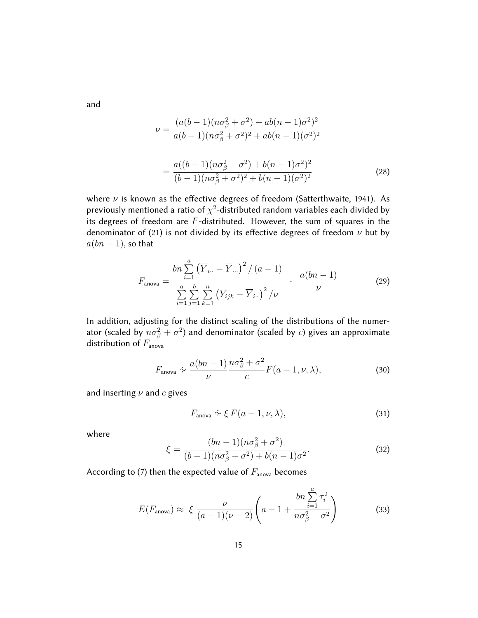and

$$
\nu = \frac{(a(b-1)(n\sigma_{\beta}^{2} + \sigma^{2}) + ab(n-1)\sigma^{2})^{2}}{a(b-1)(n\sigma_{\beta}^{2} + \sigma^{2})^{2} + ab(n-1)(\sigma^{2})^{2}}
$$

$$
= \frac{a((b-1)(n\sigma_{\beta}^{2} + \sigma^{2}) + b(n-1)\sigma^{2})^{2}}{(b-1)(n\sigma_{\beta}^{2} + \sigma^{2})^{2} + b(n-1)(\sigma^{2})^{2}}
$$
(28)

where  $\nu$  is known as the effective degrees of freedom (Satterthwaite, 1941). As previously mentioned a ratio of  $\chi^2$ -distributed random variables each divided by its degrees of freedom are  $F$ -distributed. However, the sum of squares in the denominator of (21) is not divided by its effective degrees of freedom  $\nu$  but by  $a(bn-1)$ , so that

$$
F_{\text{anova}} = \frac{bn \sum_{i=1}^{a} (\overline{Y}_{i..} - \overline{Y}_{...})^{2} / (a-1)}{\sum_{i=1}^{a} \sum_{j=1}^{b} \sum_{k=1}^{n} (Y_{ijk} - \overline{Y}_{i..})^{2} / \nu} \qquad \frac{a(bn-1)}{\nu}
$$
(29)

In addition, adjusting for the distinct scaling of the distributions of the numerator (scaled by  $n\sigma_{\beta}^2+\sigma^2$ ) and denominator (scaled by  $c$ ) gives an approximate distribution of  $F_{\text{anova}}$ 

$$
F_{\text{anova}} \sim \frac{a(bn-1)}{\nu} \frac{n\sigma_{\beta}^2 + \sigma^2}{c} F(a-1, \nu, \lambda), \tag{30}
$$

and inserting  $\nu$  and  $c$  gives

$$
F_{\text{anova}} \approx \xi F(a-1,\nu,\lambda),\tag{31}
$$

where

$$
\xi = \frac{(bn-1)(n\sigma_{\beta}^{2} + \sigma^{2})}{(b-1)(n\sigma_{\beta}^{2} + \sigma^{2}) + b(n-1)\sigma^{2}}.
$$
\n(32)

According to (7) then the expected value of  $F_{\text{anova}}$  becomes

$$
E(F_{\text{anova}}) \approx \xi \frac{\nu}{(a-1)(\nu-2)} \left( a - 1 + \frac{bn \sum_{i=1}^{a} \tau_i^2}{n \sigma_{\beta}^2 + \sigma^2} \right)
$$
(33)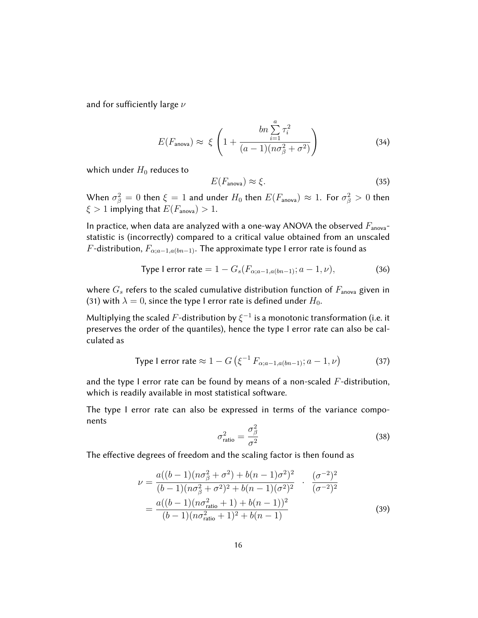and for sufficiently large  $\nu$ 

$$
E(F_{\text{anova}}) \approx \xi \left( 1 + \frac{bn \sum_{i=1}^{a} \tau_i^2}{(a-1)(n\sigma_{\beta}^2 + \sigma^2)} \right)
$$
(34)

which under  $H_0$  reduces to

$$
E(F_{\text{anova}}) \approx \xi. \tag{35}
$$

When  $\sigma_{\beta}^2 = 0$  then  $\xi = 1$  and under  $H_0$  then  $E(F_{\text{anova}}) \approx 1$ . For  $\sigma_{\beta}^2 > 0$  then  $\xi > 1$  implying that  $E(F_{\text{anova}}) > 1$ .

In practice, when data are analyzed with a one-way ANOVA the observed  $F_{\text{anova}}$ statistic is (incorrectly) compared to a critical value obtained from an unscaled  $F$  -distribution,  $F_{\alpha; a-1, a(bn-1)}.$  The approximate type I error rate is found as

Type I error rate = 
$$
1 - G_s(F_{\alpha; a-1, a(bn-1)}; a-1, \nu)
$$
, (36)

where  $G_s$  refers to the scaled cumulative distribution function of  $F_{\text{anova}}$  given in (31) with  $\lambda = 0$ , since the type I error rate is defined under  $H_0$ .

Multiplying the scaled  $F$ -distribution by  $\xi^{-1}$  is a monotonic transformation (i.e. it preserves the order of the quantiles), hence the type I error rate can also be calculated as

Type I error rate 
$$
\approx 1 - G \left( \xi^{-1} F_{\alpha; a-1, a(bn-1)}; a-1, \nu \right)
$$
 (37)

and the type I error rate can be found by means of a non-scaled  $F$ -distribution, which is readily available in most statistical software.

The type I error rate can also be expressed in terms of the variance components  $\Omega$ 

$$
\sigma_{\text{ratio}}^2 = \frac{\sigma_{\beta}^2}{\sigma^2} \tag{38}
$$

The effective degrees of freedom and the scaling factor is then found as

$$
\nu = \frac{a((b-1)(n\sigma_{\beta}^{2} + \sigma^{2}) + b(n-1)\sigma^{2})^{2}}{(b-1)(n\sigma_{\beta}^{2} + \sigma^{2})^{2} + b(n-1)(\sigma^{2})^{2}} \cdot \frac{(\sigma^{-2})^{2}}{(\sigma^{-2})^{2}}
$$

$$
= \frac{a((b-1)(n\sigma_{\text{ratio}}^{2} + 1) + b(n-1))^{2}}{(b-1)(n\sigma_{\text{ratio}}^{2} + 1)^{2} + b(n-1)}
$$
(39)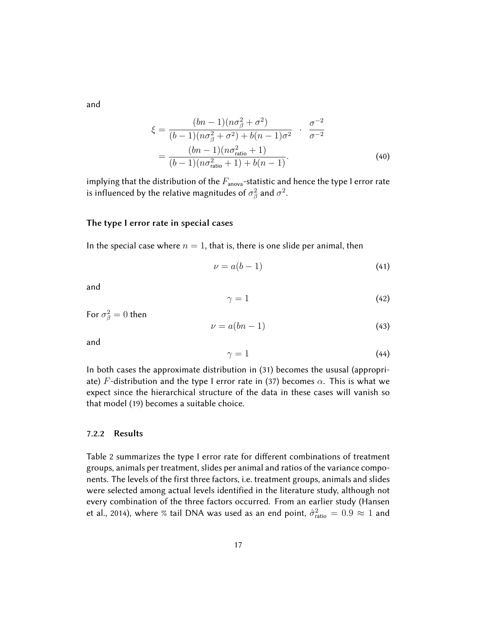and

$$
\xi = \frac{(bn - 1)(n\sigma_{\beta}^{2} + \sigma^{2})}{(b - 1)(n\sigma_{\beta}^{2} + \sigma^{2}) + b(n - 1)\sigma^{2}} \cdot \frac{\sigma^{-2}}{\sigma^{-2}}
$$

$$
= \frac{(bn - 1)(n\sigma_{\text{ratio}}^{2} + 1)}{(b - 1)(n\sigma_{\text{ratio}}^{2} + 1) + b(n - 1)}.
$$
(40)

implying that the distribution of the  $F_{\text{anova}}$ -statistic and hence the type I error rate is influenced by the relative magnitudes of  $\sigma_{\beta}^2$  and  $\sigma^2.$ 

#### The type I error rate in special cases

In the special case where  $n = 1$ , that is, there is one slide per animal, then

$$
\nu = a(b - 1) \tag{41}
$$

and

$$
\gamma = 1 \tag{42}
$$

For 
$$
\sigma_{\beta}^2 = 0
$$
 then

$$
\nu = a(bn - 1) \tag{43}
$$

and

$$
\gamma = 1 \tag{44}
$$

In both cases the approximate distribution in (31) becomes the ususal (appropriate) F-distribution and the type I error rate in (37) becomes  $\alpha$ . This is what we expect since the hierarchical structure of the data in these cases will vanish so that model (19) becomes a suitable choice.

#### 7.2.2 Results

Table 2 summarizes the type I error rate for different combinations of treatment groups, animals per treatment, slides per animal and ratios of the variance components. The levels of the first three factors, i.e. treatment groups, animals and slides were selected among actual levels identified in the literature study, although not every combination of the three factors occurred. From an earlier study (Hansen et al., 2014), where % tail DNA was used as an end point,  $\hat{\sigma}_{\text{ratio}}^2 = 0.9 \approx 1$  and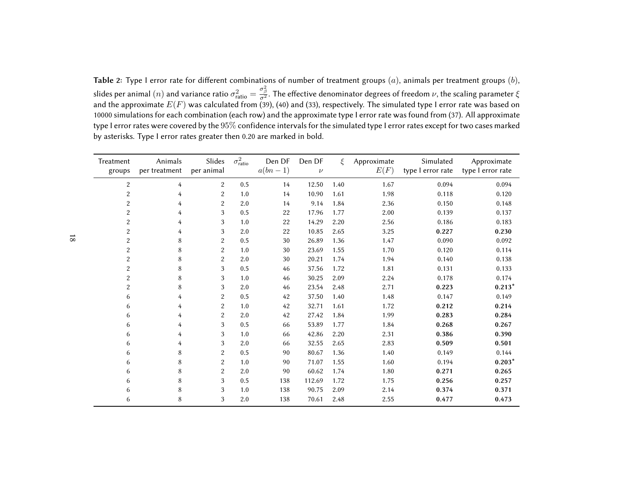**Table** 2: Type I error rate for different combinations of number of treatment groups  $(a)$ , animals per treatment groups  $(b)$ , slides per animal  $(n)$  and variance ratio  $\sigma^2_{\text{ratio}} = \frac{\sigma^2_{\beta}}{\sigma^2}$ . The effective denominator degrees of freedom  $\nu$ , the scaling parameter  $\xi$ <br>and the approximate  $E(F)$  was calculated from (39), (40) and (33), resp <sup>10000</sup> simulations for each combination (each row) and the approximate type <sup>I</sup> error rate was found from (37). All approximatetype I error rates were covered by the  $95\%$  confidence intervals for the simulated type I error rates except for two cases marked<br>I by asterisks. Type <sup>I</sup> error rates greater then 0.20 are marked in bold.

| Treatment               | Animals       | Slides         | $\sigma^2_{\rm ratio}$ | Den DF    | Den DF | ξ    | Approximate | Simulated         | Approximate       |
|-------------------------|---------------|----------------|------------------------|-----------|--------|------|-------------|-------------------|-------------------|
| groups                  | per treatment | per animal     |                        | $a(bn-1)$ | $\nu$  |      | E(F)        | type I error rate | type I error rate |
| $\overline{c}$          | 4             | $\overline{2}$ | 0.5                    | 14        | 12.50  | 1.40 | 1.67        | 0.094             | 0.094             |
| $\overline{\mathbf{c}}$ | 4             | $\overline{c}$ | 1.0                    | 14        | 10.90  | 1.61 | 1.98        | 0.118             | 0.120             |
| $\overline{c}$          | 4             | $\overline{c}$ | 2.0                    | 14        | 9.14   | 1.84 | 2.36        | 0.150             | 0.148             |
| $\overline{c}$          | 4             | 3              | 0.5                    | 22        | 17.96  | 1.77 | 2.00        | 0.139             | 0.137             |
| $\overline{c}$          | 4             | 3              | 1.0                    | 22        | 14.29  | 2.20 | 2.56        | 0.186             | 0.183             |
| $\overline{c}$          | 4             | 3              | 2.0                    | 22        | 10.85  | 2.65 | 3.25        | 0.227             | 0.230             |
| $\overline{\mathbf{c}}$ | 8             | $\overline{c}$ | 0.5                    | 30        | 26.89  | 1.36 | 1.47        | 0.090             | 0.092             |
| $\overline{c}$          | 8             | $\overline{2}$ | 1.0                    | 30        | 23.69  | 1.55 | 1.70        | 0.120             | 0.114             |
| $\overline{c}$          | 8             | $\overline{c}$ | 2.0                    | 30        | 20.21  | 1.74 | 1.94        | 0.140             | 0.138             |
| $\overline{c}$          | 8             | 3              | 0.5                    | 46        | 37.56  | 1.72 | 1.81        | 0.131             | 0.133             |
| $\overline{c}$          | 8             | 3              | 1.0                    | 46        | 30.25  | 2.09 | 2.24        | 0.178             | 0.174             |
| $\overline{c}$          | 8             | 3              | 2.0                    | 46        | 23.54  | 2.48 | 2.71        | 0.223             | $0.213*$          |
| 6                       | 4             | $\overline{c}$ | 0.5                    | 42        | 37.50  | 1.40 | 1.48        | 0.147             | 0.149             |
| 6                       | 4             | $\overline{c}$ | 1.0                    | 42        | 32.71  | 1.61 | 1.72        | 0.212             | 0.214             |
| 6                       | 4             | $\overline{2}$ | 2.0                    | 42        | 27.42  | 1.84 | 1.99        | 0.283             | 0.284             |
| 6                       | 4             | 3              | 0.5                    | 66        | 53.89  | 1.77 | 1.84        | 0.268             | 0.267             |
| 6                       | 4             | 3              | 1.0                    | 66        | 42.86  | 2.20 | 2.31        | 0.386             | 0.390             |
| 6                       | 4             | 3              | 2.0                    | 66        | 32.55  | 2.65 | 2.83        | 0.509             | 0.501             |
| 6                       | 8             | $\overline{c}$ | 0.5                    | 90        | 80.67  | 1.36 | 1.40        | 0.149             | 0.144             |
| 6                       | 8             | $\overline{c}$ | 1.0                    | 90        | 71.07  | 1.55 | 1.60        | 0.194             | $0.203*$          |
| 6                       | 8             | $\overline{c}$ | 2.0                    | 90        | 60.62  | 1.74 | 1.80        | 0.271             | 0.265             |
| 6                       | 8             | 3              | 0.5                    | 138       | 112.69 | 1.72 | 1.75        | 0.256             | 0.257             |
| 6                       | 8             | 3              | 1.0                    | 138       | 90.75  | 2.09 | 2.14        | 0.374             | 0.371             |
| 6                       | 8             | 3              | 2.0                    | 138       | 70.61  | 2.48 | 2.55        | 0.477             | 0.473             |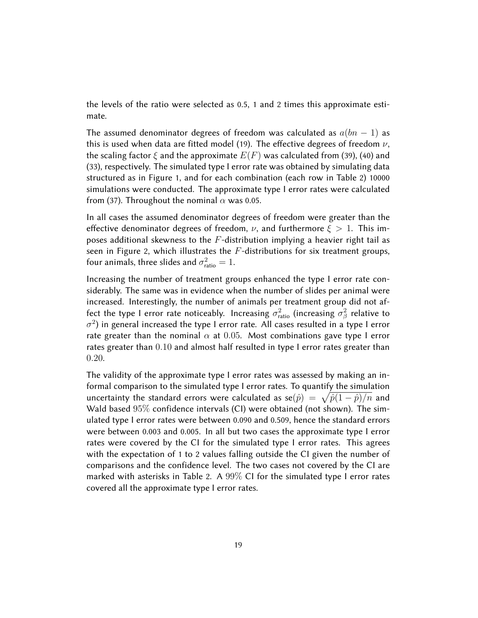the levels of the ratio were selected as 0.5, 1 and 2 times this approximate estimate.

The assumed denominator degrees of freedom was calculated as  $a(bn-1)$  as this is used when data are fitted model (19). The effective degrees of freedom  $\nu$ , the scaling factor  $\xi$  and the approximate  $E(F)$  was calculated from (39), (40) and (33), respectively. The simulated type I error rate was obtained by simulating data structured as in Figure 1, and for each combination (each row in Table 2) 10000 simulations were conducted. The approximate type I error rates were calculated from (37). Throughout the nominal  $\alpha$  was 0.05.

In all cases the assumed denominator degrees of freedom were greater than the effective denominator degrees of freedom,  $\nu$ , and furthermore  $\xi > 1$ . This imposes additional skewness to the  $F$ -distribution implying a heavier right tail as seen in Figure 2, which illustrates the  $F$ -distributions for six treatment groups, four animals, three slides and  $\sigma_{\text{ratio}}^2 = 1$ .

Increasing the number of treatment groups enhanced the type I error rate considerably. The same was in evidence when the number of slides per animal were increased. Interestingly, the number of animals per treatment group did not affect the type I error rate noticeably. Increasing  $\sigma_{\text{ratio}}^2$  (increasing  $\sigma_{\beta}^2$  relative to  $\sigma^2$ ) in general increased the type I error rate. All cases resulted in a type I error rate greater than the nominal  $\alpha$  at 0.05. Most combinations gave type I error rates greater than 0.10 and almost half resulted in type I error rates greater than 0.20.

The validity of the approximate type I error rates was assessed by making an informal comparison to the simulated type I error rates. To quantify the simulation uncertainty the standard errors were calculated as  $\mathrm{se}(\hat{p})\ =\ \sqrt{\hat{p}(1-\hat{p})/n}$  and Wald based  $95\%$  confidence intervals (CI) were obtained (not shown). The simulated type I error rates were between 0.090 and 0.509, hence the standard errors were between 0.003 and 0.005. In all but two cases the approximate type I error rates were covered by the CI for the simulated type I error rates. This agrees with the expectation of 1 to 2 values falling outside the CI given the number of comparisons and the confidence level. The two cases not covered by the CI are marked with asterisks in Table 2. A 99% CI for the simulated type I error rates covered all the approximate type I error rates.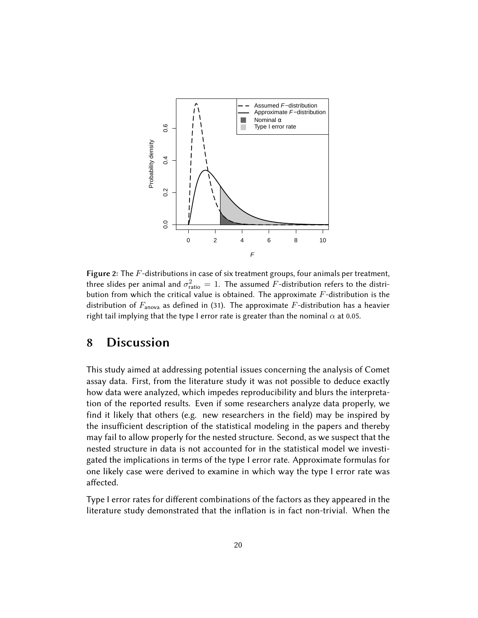

Figure 2: The  $F$ -distributions in case of six treatment groups, four animals per treatment, three slides per animal and  $\sigma_{\text{ratio}}^2 = 1$ . The assumed  $F$ -distribution refers to the distribution from which the critical value is obtained. The approximate  $F$ -distribution is the distribution of  $F_{\text{anova}}$  as defined in (31). The approximate F-distribution has a heavier right tail implying that the type I error rate is greater than the nominal  $\alpha$  at 0.05.

### 8 Discussion

This study aimed at addressing potential issues concerning the analysis of Comet assay data. First, from the literature study it was not possible to deduce exactly how data were analyzed, which impedes reproducibility and blurs the interpretation of the reported results. Even if some researchers analyze data properly, we find it likely that others (e.g. new researchers in the field) may be inspired by the insufficient description of the statistical modeling in the papers and thereby may fail to allow properly for the nested structure. Second, as we suspect that the nested structure in data is not accounted for in the statistical model we investigated the implications in terms of the type I error rate. Approximate formulas for one likely case were derived to examine in which way the type I error rate was affected.

Type I error rates for different combinations of the factors as they appeared in the literature study demonstrated that the inflation is in fact non-trivial. When the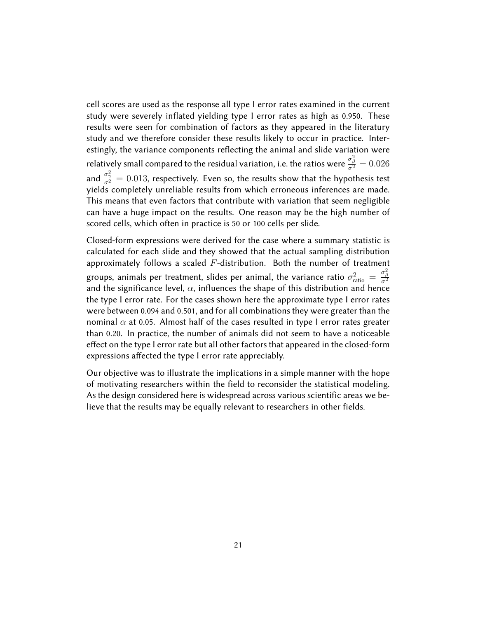cell scores are used as the response all type I error rates examined in the current study were severely inflated yielding type I error rates as high as 0.950. These results were seen for combination of factors as they appeared in the literatury study and we therefore consider these results likely to occur in practice. Interestingly, the variance components reflecting the animal and slide variation were relatively small compared to the residual variation, i.e. the ratios were  $\frac{\sigma^2_\beta}{\sigma^2}=0.026$ and  $\frac{\sigma_{\gamma}^{2}}{\sigma^{2}}=0.013$ , respectively. Even so, the results show that the hypothesis test yields completely unreliable results from which erroneous inferences are made. This means that even factors that contribute with variation that seem negligible can have a huge impact on the results. One reason may be the high number of scored cells, which often in practice is 50 or 100 cells per slide.

Closed-form expressions were derived for the case where a summary statistic is calculated for each slide and they showed that the actual sampling distribution approximately follows a scaled  $F$ -distribution. Both the number of treatment groups, animals per treatment, slides per animal, the variance ratio  $\sigma_{\text{ratio}}^2 = \frac{\sigma_{\beta}^2}{\sigma^2}$ and the significance level,  $\alpha$ , influences the shape of this distribution and hence the type I error rate. For the cases shown here the approximate type I error rates were between 0.094 and 0.501, and for all combinations they were greater than the nominal  $\alpha$  at 0.05. Almost half of the cases resulted in type I error rates greater than 0.20. In practice, the number of animals did not seem to have a noticeable effect on the type I error rate but all other factors that appeared in the closed-form expressions affected the type I error rate appreciably.

Our objective was to illustrate the implications in a simple manner with the hope of motivating researchers within the field to reconsider the statistical modeling. As the design considered here is widespread across various scientific areas we believe that the results may be equally relevant to researchers in other fields.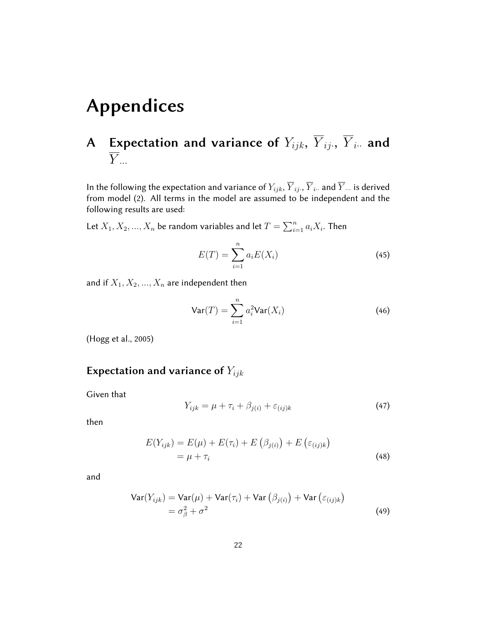# Appendices

## A  $\;$  Expectation and variance of  $Y_{ijk},\;{Y}_{ij\cdot},\;{Y}_{i\cdot\cdot}$  and  $\overline{Y}$ ...

In the following the expectation and variance of  $Y_{ijk},\overline{Y}_{ij\cdot},\overline{Y}_{i\cdot\cdot}$  and  $\overline{Y}$  ... is derived from model (2). All terms in the model are assumed to be independent and the following results are used:

Let  $X_1, X_2, ..., X_n$  be random variables and let  $T = \sum_{i=1}^n a_i X_i$ . Then

$$
E(T) = \sum_{i=1}^{n} a_i E(X_i)
$$
 (45)

and if  $X_1, X_2, ..., X_n$  are independent then

$$
\text{Var}(T) = \sum_{i=1}^{n} a_i^2 \text{Var}(X_i)
$$
 (46)

(Hogg et al., 2005)

### Expectation and variance of  $Y_{ijk}$

Given that

$$
Y_{ijk} = \mu + \tau_i + \beta_{j(i)} + \varepsilon_{(ij)k} \tag{47}
$$

then

$$
E(Y_{ijk}) = E(\mu) + E(\tau_i) + E(\beta_{j(i)}) + E(\varepsilon_{(ij)k})
$$
  
=  $\mu + \tau_i$  (48)

$$
\begin{aligned} \text{Var}(Y_{ijk}) &= \text{Var}(\mu) + \text{Var}(\tau_i) + \text{Var}\left(\beta_{j(i)}\right) + \text{Var}\left(\varepsilon_{(ij)k}\right) \\ &= \sigma_{\beta}^2 + \sigma^2 \end{aligned} \tag{49}
$$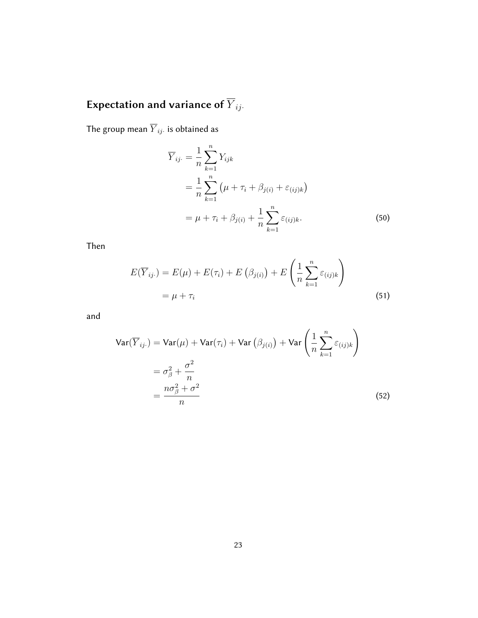# Expectation and variance of  $\overline{Y}_{ij\cdot}$

The group mean  $\overline{Y}_{ij\cdot}$  is obtained as

$$
\overline{Y}_{ij.} = \frac{1}{n} \sum_{k=1}^{n} Y_{ijk}
$$
\n
$$
= \frac{1}{n} \sum_{k=1}^{n} (\mu + \tau_i + \beta_{j(i)} + \varepsilon_{(ij)k})
$$
\n
$$
= \mu + \tau_i + \beta_{j(i)} + \frac{1}{n} \sum_{k=1}^{n} \varepsilon_{(ij)k}.
$$
\n(50)

Then

$$
E(\overline{Y}_{ij\cdot}) = E(\mu) + E(\tau_i) + E(\beta_{j(i)}) + E\left(\frac{1}{n}\sum_{k=1}^{n} \varepsilon_{(ij)k}\right)
$$
  
=  $\mu + \tau_i$  (51)

$$
\begin{aligned} \text{Var}(\overline{Y}_{ij\cdot}) &= \text{Var}(\mu) + \text{Var}(\tau_i) + \text{Var}\left(\beta_{j(i)}\right) + \text{Var}\left(\frac{1}{n}\sum_{k=1}^n \varepsilon_{(ij)k}\right) \\ &= \sigma_\beta^2 + \frac{\sigma^2}{n} \\ &= \frac{n\sigma_\beta^2 + \sigma^2}{n} \end{aligned} \tag{52}
$$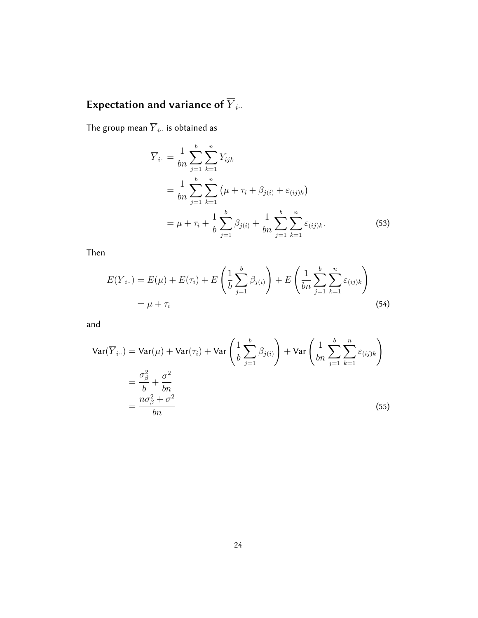# Expectation and variance of  $\overline{Y}_{i\cdot \cdot}$

b

The group mean  $\overline{Y}_{i\cdot \cdot}$  is obtained as

$$
\overline{Y}_{i..} = \frac{1}{bn} \sum_{j=1}^{b} \sum_{k=1}^{n} Y_{ijk}
$$
\n
$$
= \frac{1}{bn} \sum_{j=1}^{b} \sum_{k=1}^{n} (\mu + \tau_i + \beta_{j(i)} + \varepsilon_{(ij)k})
$$
\n
$$
= \mu + \tau_i + \frac{1}{b} \sum_{j=1}^{b} \beta_{j(i)} + \frac{1}{bn} \sum_{j=1}^{b} \sum_{k=1}^{n} \varepsilon_{(ij)k}.
$$
\n(53)

Then

$$
E(\overline{Y}_{i\cdot\cdot}) = E(\mu) + E(\tau_i) + E\left(\frac{1}{b}\sum_{j=1}^{b}\beta_{j(i)}\right) + E\left(\frac{1}{bn}\sum_{j=1}^{b}\sum_{k=1}^{n}\varepsilon_{(ij)k}\right)
$$
  
=  $\mu + \tau_i$  (54)

$$
\begin{split} \text{Var}(\overline{Y}_{i\cdot\cdot}) &= \text{Var}(\mu) + \text{Var}(\tau_i) + \text{Var}\left(\frac{1}{b}\sum_{j=1}^{b} \beta_{j(i)}\right) + \text{Var}\left(\frac{1}{bn}\sum_{j=1}^{b} \sum_{k=1}^{n} \varepsilon_{(ij)k}\right) \\ &= \frac{\sigma_{\beta}^{2}}{b} + \frac{\sigma^{2}}{bn} \\ &= \frac{n\sigma_{\beta}^{2} + \sigma^{2}}{bn} \end{split} \tag{55}
$$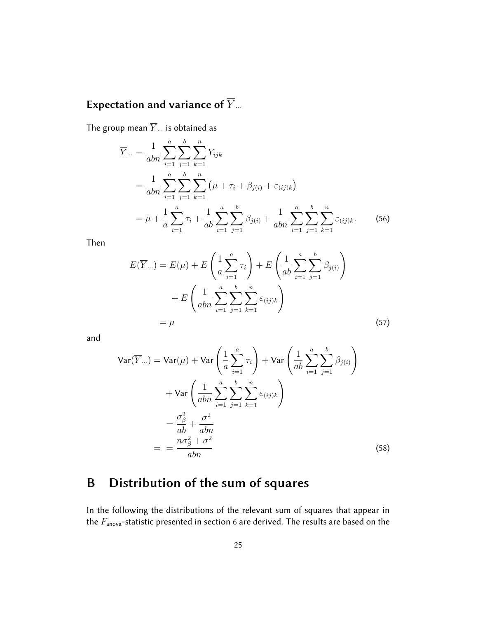## Expectation and variance of  $\overline{Y}_{\cdots}$

The group mean  $\overline{Y}$  *i*s obtained as

$$
\overline{Y}_{\cdots} = \frac{1}{abn} \sum_{i=1}^{a} \sum_{j=1}^{b} \sum_{k=1}^{n} Y_{ijk}
$$
\n
$$
= \frac{1}{abn} \sum_{i=1}^{a} \sum_{j=1}^{b} \sum_{k=1}^{n} (\mu + \tau_i + \beta_{j(i)} + \varepsilon_{(ij)k})
$$
\n
$$
= \mu + \frac{1}{a} \sum_{i=1}^{a} \tau_i + \frac{1}{ab} \sum_{i=1}^{a} \sum_{j=1}^{b} \beta_{j(i)} + \frac{1}{abn} \sum_{i=1}^{a} \sum_{j=1}^{b} \sum_{k=1}^{n} \varepsilon_{(ij)k}.
$$
\n(56)

Then

$$
E(\overline{Y}_{\cdots}) = E(\mu) + E\left(\frac{1}{a}\sum_{i=1}^{a}\tau_{i}\right) + E\left(\frac{1}{ab}\sum_{i=1}^{a}\sum_{j=1}^{b}\beta_{j(i)}\right) + E\left(\frac{1}{abn}\sum_{i=1}^{a}\sum_{j=1}^{b}\sum_{k=1}^{n}\varepsilon_{(ij)k}\right) = \mu
$$
\n(57)

and

$$
\begin{split} \text{Var}(\overline{Y}_{...}) &= \text{Var}(\mu) + \text{Var}\left(\frac{1}{a}\sum_{i=1}^{a}\tau_{i}\right) + \text{Var}\left(\frac{1}{ab}\sum_{i=1}^{a}\sum_{j=1}^{b}\beta_{j(i)}\right) \\ &+ \text{Var}\left(\frac{1}{abn}\sum_{i=1}^{a}\sum_{j=1}^{b}\sum_{k=1}^{n}\varepsilon_{(ij)k}\right) \\ &= \frac{\sigma_{\beta}^{2}}{ab} + \frac{\sigma^{2}}{abn} \\ &= \frac{n\sigma_{\beta}^{2} + \sigma^{2}}{abn} \end{split} \tag{58}
$$

## B Distribution of the sum of squares

In the following the distributions of the relevant sum of squares that appear in the  $F_{\text{anova}}$ -statistic presented in section 6 are derived. The results are based on the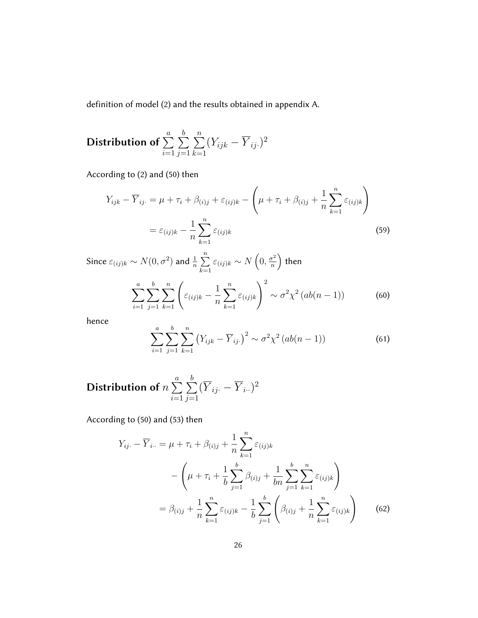definition of model (2) and the results obtained in appendix A.

**Distribution of** 
$$
\sum_{i=1}^{a} \sum_{j=1}^{b} \sum_{k=1}^{n} (Y_{ijk} - \overline{Y}_{ij.})^2
$$

According to (2) and (50) then

$$
Y_{ijk} - \overline{Y}_{ij} = \mu + \tau_i + \beta_{(i)j} + \varepsilon_{(ij)k} - \left(\mu + \tau_i + \beta_{(i)j} + \frac{1}{n} \sum_{k=1}^{n} \varepsilon_{(ij)k}\right)
$$

$$
= \varepsilon_{(ij)k} - \frac{1}{n} \sum_{k=1}^{n} \varepsilon_{(ij)k}
$$
(59)

Since  $\varepsilon_{(ij)k} \sim N(0, \sigma^2)$  and  $\frac{1}{n} \sum_{n=1}^n$  $k=1$  $\varepsilon_{(ij)k} \sim N\left(0, \frac{\sigma^2}{n}\right)$  $\left(\frac{\sigma^2}{n}\right)$  then  $\sum_{a}$  $i=1$  $\sum$ b  $j=1$  $\sum_{k=1}^n \Bigg($  $\varepsilon_{(ij)k} - \frac{1}{k}$  $\overline{n}$  $\sum_{n=1}^{\infty}$  $k=1$  $\varepsilon_{(ij)k}$  $\setminus^2$  $\sim \sigma^2 \chi^2 (ab(n-1))$  (60)

hence

$$
\sum_{i=1}^{a} \sum_{j=1}^{b} \sum_{k=1}^{n} (Y_{ijk} - \overline{Y}_{ij.})^2 \sim \sigma^2 \chi^2 (ab(n-1))
$$
 (61)

**Distribution of** 
$$
n \sum_{i=1}^{a} \sum_{j=1}^{b} (\overline{Y}_{ij.} - \overline{Y}_{i..})^2
$$

According to (50) and (53) then

$$
Y_{ij.} - \overline{Y}_{i..} = \mu + \tau_i + \beta_{(i)j} + \frac{1}{n} \sum_{k=1}^{n} \varepsilon_{(ij)k} - \left(\mu + \tau_i + \frac{1}{b} \sum_{j=1}^{b} \beta_{(i)j} + \frac{1}{bn} \sum_{j=1}^{b} \sum_{k=1}^{n} \varepsilon_{(ij)k}\right) = \beta_{(i)j} + \frac{1}{n} \sum_{k=1}^{n} \varepsilon_{(ij)k} - \frac{1}{b} \sum_{j=1}^{b} \left(\beta_{(i)j} + \frac{1}{n} \sum_{k=1}^{n} \varepsilon_{(ij)k}\right)
$$
(62)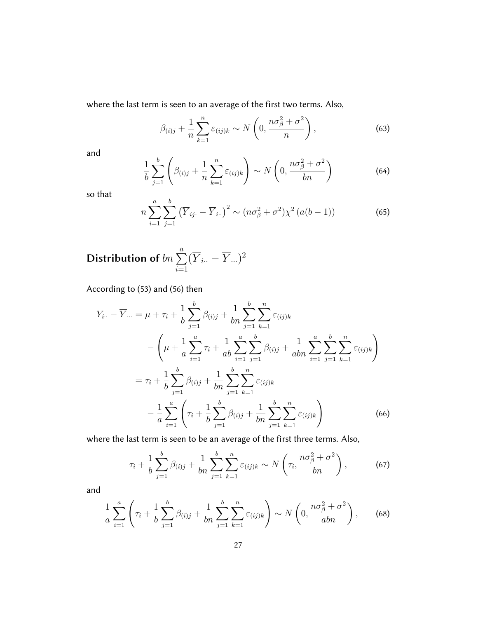where the last term is seen to an average of the first two terms. Also,

$$
\beta_{(i)j} + \frac{1}{n} \sum_{k=1}^{n} \varepsilon_{(ij)k} \sim N\left(0, \frac{n\sigma_{\beta}^{2} + \sigma^{2}}{n}\right),\tag{63}
$$

and

$$
\frac{1}{b} \sum_{j=1}^{b} \left( \beta_{(i)j} + \frac{1}{n} \sum_{k=1}^{n} \varepsilon_{(ij)k} \right) \sim N \left( 0, \frac{n\sigma_{\beta}^{2} + \sigma^{2}}{bn} \right)
$$
(64)

so that

$$
n\sum_{i=1}^{a} \sum_{j=1}^{b} (\overline{Y}_{ij.} - \overline{Y}_{i.})^2 \sim (n\sigma_{\beta}^2 + \sigma^2)\chi^2 (a(b-1))
$$
 (65)

#### Distribution of  $bn \sum$ a  $i=1$  $(\overline{Y}_{i\cdot\cdot}-\overline{Y}_{\cdot\cdot\cdot})^2$

According to (53) and (56) then

$$
Y_{i..} - \overline{Y}_{...} = \mu + \tau_i + \frac{1}{b} \sum_{j=1}^{b} \beta_{(i)j} + \frac{1}{bn} \sum_{j=1}^{b} \sum_{k=1}^{n} \varepsilon_{(ij)k} - \left(\mu + \frac{1}{a} \sum_{i=1}^{a} \tau_i + \frac{1}{ab} \sum_{i=1}^{a} \sum_{j=1}^{b} \beta_{(i)j} + \frac{1}{abn} \sum_{i=1}^{a} \sum_{j=1}^{b} \sum_{k=1}^{n} \varepsilon_{(ij)k}\right) = \tau_i + \frac{1}{b} \sum_{j=1}^{b} \beta_{(i)j} + \frac{1}{bn} \sum_{j=1}^{b} \sum_{k=1}^{n} \varepsilon_{(ij)k} - \frac{1}{a} \sum_{i=1}^{a} \left(\tau_i + \frac{1}{b} \sum_{j=1}^{b} \beta_{(i)j} + \frac{1}{bn} \sum_{j=1}^{b} \sum_{k=1}^{n} \varepsilon_{(ij)k}\right)
$$
(66)

where the last term is seen to be an average of the first three terms. Also,

$$
\tau_i + \frac{1}{b} \sum_{j=1}^b \beta_{(i)j} + \frac{1}{bn} \sum_{j=1}^b \sum_{k=1}^n \varepsilon_{(ij)k} \sim N\left(\tau_i, \frac{n\sigma_\beta^2 + \sigma^2}{bn}\right),\tag{67}
$$

$$
\frac{1}{a} \sum_{i=1}^{a} \left( \tau_i + \frac{1}{b} \sum_{j=1}^{b} \beta_{(i)j} + \frac{1}{bn} \sum_{j=1}^{b} \sum_{k=1}^{n} \varepsilon_{(ij)k} \right) \sim N\left( 0, \frac{n\sigma_{\beta}^{2} + \sigma^{2}}{abn} \right), \quad (68)
$$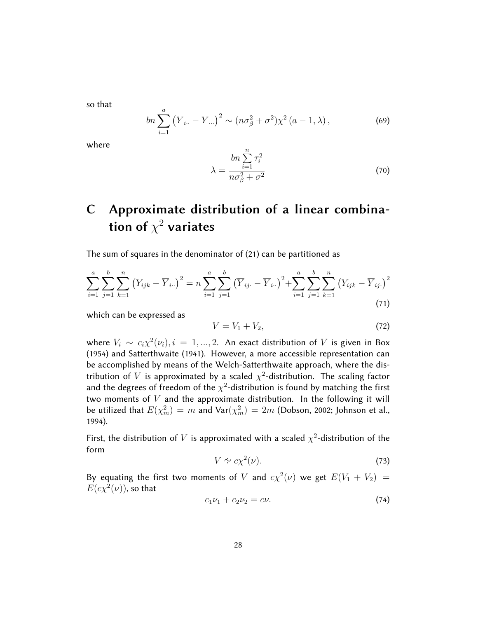so that

$$
bn\sum_{i=1}^{a} \left(\overline{Y}_{i\cdot\cdot} - \overline{Y}_{\cdot\cdot\cdot}\right)^{2} \sim (n\sigma_{\beta}^{2} + \sigma^{2})\chi^{2} \left(a - 1, \lambda\right),\tag{69}
$$

where

$$
\lambda = \frac{bn \sum_{i=1}^{n} \tau_i^2}{no\beta + \sigma^2}
$$
\n(70)

# C Approximate distribution of a linear combination of  $\chi^2$  variates

The sum of squares in the denominator of (21) can be partitioned as

$$
\sum_{i=1}^{a} \sum_{j=1}^{b} \sum_{k=1}^{n} (Y_{ijk} - \overline{Y}_{i..})^2 = n \sum_{i=1}^{a} \sum_{j=1}^{b} (\overline{Y}_{ij.} - \overline{Y}_{i..})^2 + \sum_{i=1}^{a} \sum_{j=1}^{b} \sum_{k=1}^{n} (Y_{ijk} - \overline{Y}_{ij.})^2
$$
\n(71)

which can be expressed as

$$
V = V_1 + V_2,\tag{72}
$$

where  $V_i \sim c_i \chi^2(\nu_i), i = 1, ..., 2$ . An exact distribution of V is given in Box (1954) and Satterthwaite (1941). However, a more accessible representation can be accomplished by means of the Welch-Satterthwaite approach, where the distribution of V is approximated by a scaled  $\chi^2$ -distribution. The scaling factor and the degrees of freedom of the  $\chi^2$ -distribution is found by matching the first two moments of  $V$  and the approximate distribution. In the following it will be utilized that  $E(\chi_m^2)=m$  and  $\textsf{Var}(\chi_m^2)=2m$  (Dobson, 2002; Johnson et al., 1994).

First, the distribution of V is approximated with a scaled  $\chi^2$ -distribution of the form

$$
V \sim c\chi^2(\nu). \tag{73}
$$

By equating the first two moments of V and  $c\chi^2(\nu)$  we get  $E(V_1 + V_2)$  =  $E(c\chi^2(\nu))$ , so that

$$
c_1\nu_1 + c_2\nu_2 = c\nu. \t\t(74)
$$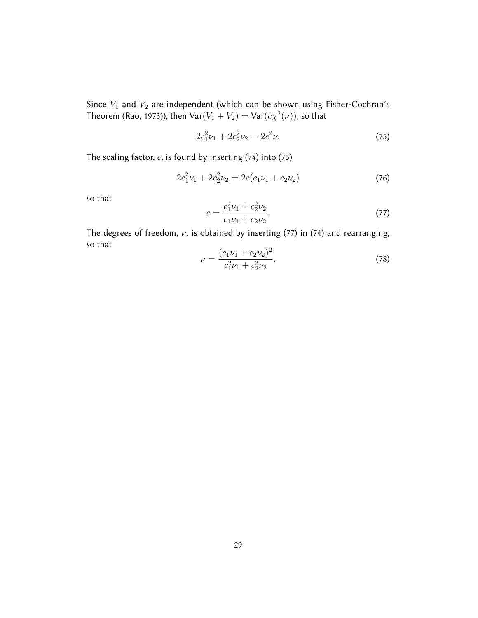Since  $V_1$  and  $V_2$  are independent (which can be shown using Fisher-Cochran's Theorem (Rao, 1973)), then  $\mathsf{Var}(V_1 + V_2) = \mathsf{Var}(c\chi^2(\nu))$ , so that

$$
2c_1^2\nu_1 + 2c_2^2\nu_2 = 2c^2\nu.
$$
\n(75)

The scaling factor,  $c$ , is found by inserting (74) into (75)

$$
2c_1^2\nu_1 + 2c_2^2\nu_2 = 2c(c_1\nu_1 + c_2\nu_2)
$$
\n(76)

so that

$$
c = \frac{c_1^2 \nu_1 + c_2^2 \nu_2}{c_1 \nu_1 + c_2 \nu_2}.
$$
\n(77)

The degrees of freedom,  $\nu$ , is obtained by inserting (77) in (74) and rearranging, so that  $\overline{2}$ 

$$
\nu = \frac{(c_1\nu_1 + c_2\nu_2)^2}{c_1^2\nu_1 + c_2^2\nu_2}.\tag{78}
$$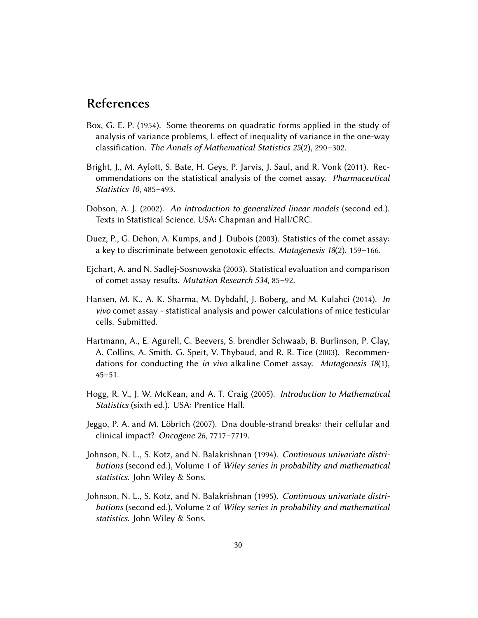### References

- Box, G. E. P. (1954). Some theorems on quadratic forms applied in the study of analysis of variance problems, I. effect of inequality of variance in the one-way classification. The Annals of Mathematical Statistics 25(2), 290–302.
- Bright, J., M. Aylott, S. Bate, H. Geys, P. Jarvis, J. Saul, and R. Vonk (2011). Recommendations on the statistical analysis of the comet assay. Pharmaceutical Statistics 10, 485–493.
- Dobson, A. J. (2002). An introduction to generalized linear models (second ed.). Texts in Statistical Science. USA: Chapman and Hall/CRC.
- Duez, P., G. Dehon, A. Kumps, and J. Dubois (2003). Statistics of the comet assay: a key to discriminate between genotoxic effects. Mutagenesis  $18(2)$ , 159–166.
- Ejchart, A. and N. Sadlej-Sosnowska (2003). Statistical evaluation and comparison of comet assay results. Mutation Research 534, 85–92.
- Hansen, M. K., A. K. Sharma, M. Dybdahl, J. Boberg, and M. Kulahci (2014). In vivo comet assay - statistical analysis and power calculations of mice testicular cells. Submitted.
- Hartmann, A., E. Agurell, C. Beevers, S. brendler Schwaab, B. Burlinson, P. Clay, A. Collins, A. Smith, G. Speit, V. Thybaud, and R. R. Tice (2003). Recommendations for conducting the *in vivo* alkaline Comet assay. Mutagenesis 18(1), 45–51.
- Hogg, R. V., J. W. McKean, and A. T. Craig (2005). Introduction to Mathematical Statistics (sixth ed.). USA: Prentice Hall.
- Jeggo, P. A. and M. Löbrich (2007). Dna double-strand breaks: their cellular and clinical impact? Oncogene 26, 7717–7719.
- Johnson, N. L., S. Kotz, and N. Balakrishnan (1994). Continuous univariate distributions (second ed.), Volume 1 of Wiley series in probability and mathematical statistics. John Wiley & Sons.
- Johnson, N. L., S. Kotz, and N. Balakrishnan (1995). Continuous univariate distributions (second ed.), Volume 2 of Wiley series in probability and mathematical statistics. John Wiley & Sons.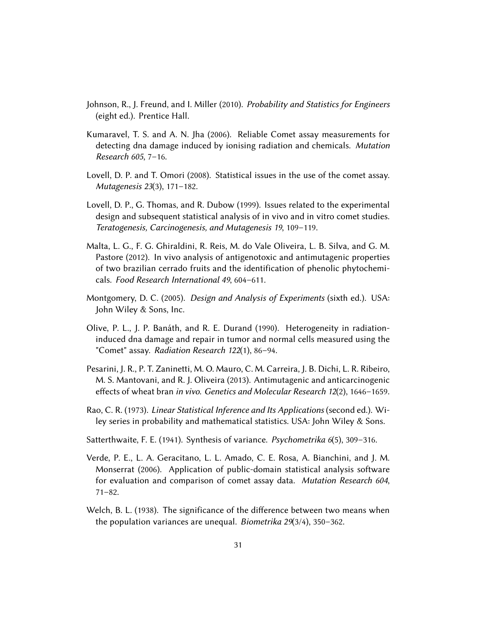- Johnson, R., J. Freund, and I. Miller (2010). Probability and Statistics for Engineers (eight ed.). Prentice Hall.
- Kumaravel, T. S. and A. N. Jha (2006). Reliable Comet assay measurements for detecting dna damage induced by ionising radiation and chemicals. Mutation Research 605, 7–16.
- Lovell, D. P. and T. Omori (2008). Statistical issues in the use of the comet assay. Mutagenesis 23(3), 171–182.
- Lovell, D. P., G. Thomas, and R. Dubow (1999). Issues related to the experimental design and subsequent statistical analysis of in vivo and in vitro comet studies. Teratogenesis, Carcinogenesis, and Mutagenesis 19, 109–119.
- Malta, L. G., F. G. Ghiraldini, R. Reis, M. do Vale Oliveira, L. B. Silva, and G. M. Pastore (2012). In vivo analysis of antigenotoxic and antimutagenic properties of two brazilian cerrado fruits and the identification of phenolic phytochemicals. Food Research International 49, 604–611.
- Montgomery, D. C. (2005). Design and Analysis of Experiments (sixth ed.). USA: John Wiley & Sons, Inc.
- Olive, P. L., J. P. Banáth, and R. E. Durand (1990). Heterogeneity in radiationinduced dna damage and repair in tumor and normal cells measured using the "Comet" assay. Radiation Research 122(1), 86–94.
- Pesarini, J. R., P. T. Zaninetti, M. O. Mauro, C. M. Carreira, J. B. Dichi, L. R. Ribeiro, M. S. Mantovani, and R. J. Oliveira (2013). Antimutagenic and anticarcinogenic effects of wheat bran in vivo. Genetics and Molecular Research 12(2), 1646–1659.
- Rao, C. R. (1973). Linear Statistical Inference and Its Applications (second ed.). Wiley series in probability and mathematical statistics. USA: John Wiley & Sons.
- Satterthwaite, F. E. (1941). Synthesis of variance. Psychometrika 6(5), 309-316.
- Verde, P. E., L. A. Geracitano, L. L. Amado, C. E. Rosa, A. Bianchini, and J. M. Monserrat (2006). Application of public-domain statistical analysis software for evaluation and comparison of comet assay data. Mutation Research 604, 71–82.
- Welch, B. L. (1938). The significance of the difference between two means when the population variances are unequal. Biometrika 29(3/4), 350–362.